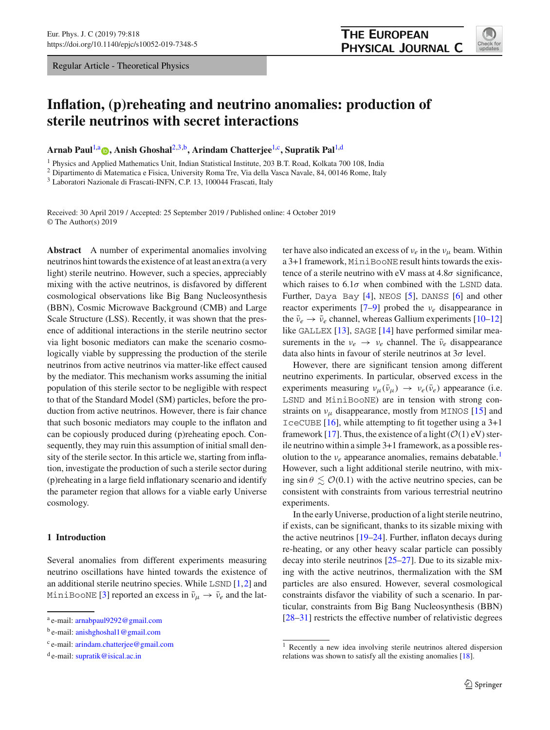Regular Article - Theoretical Physics



# **Inflation, (p)reheating and neutrino anomalies: production of sterile neutrinos with secret interactions**

**Arnab Paul**[1,](#page-0-0)a **[,](http://orcid.org/0000-0003-3498-6755) Anish Ghoshal**[2](#page-0-0)[,3,](#page-0-1)b**, Arindam Chatterjee**[1,](#page-0-0)c**, Supratik Pal**[1,](#page-0-0)d

<sup>1</sup> Physics and Applied Mathematics Unit, Indian Statistical Institute, 203 B.T. Road, Kolkata 700 108, India

<sup>2</sup> Dipartimento di Matematica e Fisica, University Roma Tre, Via della Vasca Navale, 84, 00146 Rome, Italy

<sup>3</sup> Laboratori Nazionale di Frascati-INFN, C.P. 13, 100044 Frascati, Italy

Received: 30 April 2019 / Accepted: 25 September 2019 / Published online: 4 October 2019 © The Author(s) 2019

**Abstract** A number of experimental anomalies involving neutrinos hint towards the existence of at least an extra (a very light) sterile neutrino. However, such a species, appreciably mixing with the active neutrinos, is disfavored by different cosmological observations like Big Bang Nucleosynthesis (BBN), Cosmic Microwave Background (CMB) and Large Scale Structure (LSS). Recently, it was shown that the presence of additional interactions in the sterile neutrino sector via light bosonic mediators can make the scenario cosmologically viable by suppressing the production of the sterile neutrinos from active neutrinos via matter-like effect caused by the mediator. This mechanism works assuming the initial population of this sterile sector to be negligible with respect to that of the Standard Model (SM) particles, before the production from active neutrinos. However, there is fair chance that such bosonic mediators may couple to the inflaton and can be copiously produced during (p)reheating epoch. Consequently, they may ruin this assumption of initial small density of the sterile sector. In this article we, starting from inflation, investigate the production of such a sterile sector during (p)reheating in a large field inflationary scenario and identify the parameter region that allows for a viable early Universe cosmology.

## **1 Introduction**

Several anomalies from different experiments measuring neutrino oscillations have hinted towards the existence of an additional sterile neutrino species. While  $\text{LSD}$  [\[1](#page-12-0)[,2](#page-12-1)] and MiniBooNE [\[3](#page-12-2)] reported an excess in  $\bar{\nu}_{\mu} \rightarrow \bar{\nu}_{e}$  and the lat<span id="page-0-1"></span><span id="page-0-0"></span>ter have also indicated an excess of  $v_e$  in the  $v_\mu$  beam. Within a 3+1 framework, MiniBooNE result hints towards the existence of a sterile neutrino with eV mass at  $4.8\sigma$  significance, which raises to  $6.1\sigma$  when combined with the LSND data. Further, Daya Bay [\[4](#page-12-3)], NEOS [\[5\]](#page-12-4), DANSS [\[6](#page-12-5)] and other reactor experiments [\[7](#page-12-6)[–9](#page-13-0)] probed the ν*e* disappearance in the  $\bar{\nu}_e \rightarrow \bar{\nu}_e$  channel, whereas Gallium experiments [\[10](#page-13-1)[–12\]](#page-13-2) like GALLEX  $[13]$  $[13]$ , SAGE  $[14]$  $[14]$  have performed similar measurements in the  $v_e \rightarrow v_e$  channel. The  $\bar{v}_e$  disappearance data also hints in favour of sterile neutrinos at  $3\sigma$  level.

However, there are significant tension among different neutrino experiments. In particular, observed excess in the experiments measuring  $v_{\mu}(\bar{v}_{\mu}) \rightarrow v_{e}(\bar{v}_{e})$  appearance (i.e. LSND and MiniBooNE) are in tension with strong constraints on  $v_{\mu}$  disappearance, mostly from MINOS [\[15\]](#page-13-5) and IceCUBE [\[16\]](#page-13-6), while attempting to fit together using a 3+1 framework [\[17](#page-13-7)]. Thus, the existence of a light  $(\mathcal{O}(1)$  eV) sterile neutrino within a simple 3+1 framework, as a possible resolution to the  $v_e$  appearance anomalies, remains debatable.<sup>1</sup> However, such a light additional sterile neutrino, with mixing  $\sin \theta \lesssim \mathcal{O}(0.1)$  with the active neutrino species, can be consistent with constraints from various terrestrial neutrino experiments.

In the early Universe, production of a light sterile neutrino, if exists, can be significant, thanks to its sizable mixing with the active neutrinos [\[19](#page-13-8)[–24](#page-13-9)]. Further, inflaton decays during re-heating, or any other heavy scalar particle can possibly decay into sterile neutrinos [\[25](#page-13-10)[–27](#page-13-11)]. Due to its sizable mixing with the active neutrinos, thermalization with the SM particles are also ensured. However, several cosmological constraints disfavor the viability of such a scenario. In particular, constraints from Big Bang Nucleosynthesis (BBN) [\[28](#page-13-12)[–31](#page-13-13)] restricts the effective number of relativistic degrees

<sup>a</sup> e-mail: [arnabpaul9292@gmail.com](mailto:arnabpaul9292@gmail.com)

<sup>b</sup> e-mail: [anishghoshal1@gmail.com](mailto:anishghoshal1@gmail.com)

<sup>c</sup> e-mail: [arindam.chatterjee@gmail.com](mailto:arindam.chatterjee@gmail.com)

<sup>d</sup> e-mail: [supratik@isical.ac.in](mailto:supratik@isical.ac.in)

<span id="page-0-2"></span><sup>1</sup> Recently a new idea involving sterile neutrinos altered dispersion relations was shown to satisfy all the existing anomalies [\[18](#page-13-14)].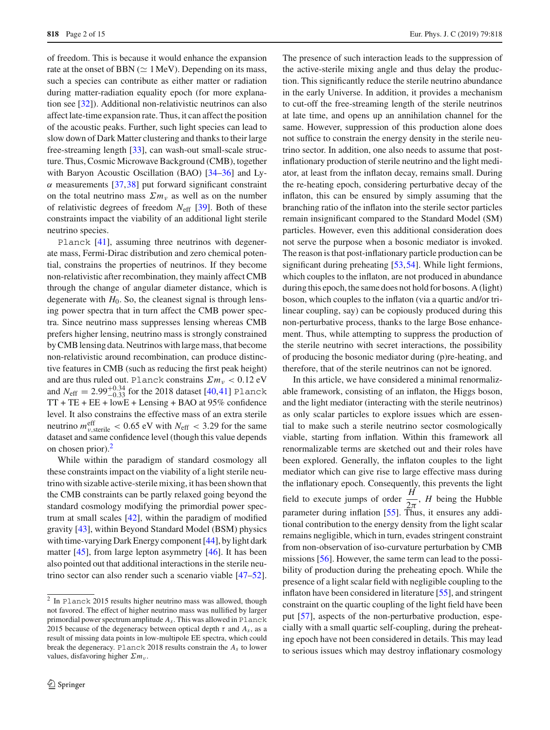of freedom. This is because it would enhance the expansion rate at the onset of BBN ( $\simeq 1 \,\text{MeV}$ ). Depending on its mass, such a species can contribute as either matter or radiation during matter-radiation equality epoch (for more explanation see [\[32\]](#page-13-15)). Additional non-relativistic neutrinos can also affect late-time expansion rate. Thus, it can affect the position of the acoustic peaks. Further, such light species can lead to slow down of Dark Matter clustering and thanks to their large free-streaming length [\[33](#page-13-16)], can wash-out small-scale structure. Thus, Cosmic Microwave Background (CMB), together with Baryon Acoustic Oscillation (BAO) [\[34](#page-13-17)[–36](#page-13-18)] and Ly- $\alpha$  measurements [\[37](#page-13-19)[,38](#page-13-20)] put forward significant constraint on the total neutrino mass  $\Sigma m<sub>v</sub>$  as well as on the number of relativistic degrees of freedom *N*eff [\[39](#page-13-21)]. Both of these constraints impact the viability of an additional light sterile neutrino species.

Planck [\[41\]](#page-13-22), assuming three neutrinos with degenerate mass, Fermi-Dirac distribution and zero chemical potential, constrains the properties of neutrinos. If they become non-relativistic after recombination, they mainly affect CMB through the change of angular diameter distance, which is degenerate with  $H_0$ . So, the cleanest signal is through lensing power spectra that in turn affect the CMB power spectra. Since neutrino mass suppresses lensing whereas CMB prefers higher lensing, neutrino mass is strongly constrained by CMB lensing data. Neutrinos with large mass, that become non-relativistic around recombination, can produce distinctive features in CMB (such as reducing the first peak height) and are thus ruled out. Planck constrains  $\sum m_{\nu} < 0.12$  eV and  $N_{\text{eff}} = 2.99_{-0.33}^{+0.34}$  for the 2018 dataset [\[40](#page-13-23)[,41](#page-13-22)] Planck  $TT + TE + EE + lowE + Lensing + BAO$  at 95% confidence level. It also constrains the effective mass of an extra sterile neutrino  $m_{v,\text{sterile}}^{\text{eff}} < 0.65 \text{ eV}$  with  $N_{\text{eff}} < 3.29$  for the same dataset and same confidence level (though this value depends on chosen prior)[.2](#page-1-0)

While within the paradigm of standard cosmology all these constraints impact on the viability of a light sterile neutrino with sizable active-sterile mixing, it has been shown that the CMB constraints can be partly relaxed going beyond the standard cosmology modifying the primordial power spectrum at small scales [\[42](#page-13-24)], within the paradigm of modified gravity [\[43\]](#page-13-25), within Beyond Standard Model (BSM) physics with time-varying Dark Energy component [\[44](#page-13-26)], by light dark matter [\[45\]](#page-13-27), from large lepton asymmetry [\[46\]](#page-13-28). It has been also pointed out that additional interactions in the sterile neutrino sector can also render such a scenario viable [\[47](#page-13-29)[–52](#page-13-30)].

The presence of such interaction leads to the suppression of the active-sterile mixing angle and thus delay the production. This significantly reduce the sterile neutrino abundance in the early Universe. In addition, it provides a mechanism to cut-off the free-streaming length of the sterile neutrinos at late time, and opens up an annihilation channel for the same. However, suppression of this production alone does not suffice to constrain the energy density in the sterile neutrino sector. In addition, one also needs to assume that postinflationary production of sterile neutrino and the light mediator, at least from the inflaton decay, remains small. During the re-heating epoch, considering perturbative decay of the inflaton, this can be ensured by simply assuming that the branching ratio of the inflaton into the sterile sector particles remain insignificant compared to the Standard Model (SM) particles. However, even this additional consideration does not serve the purpose when a bosonic mediator is invoked. The reason is that post-inflationary particle production can be significant during preheating [\[53](#page-13-31)[,54](#page-13-32)]. While light fermions, which couples to the inflaton, are not produced in abundance during this epoch, the same does not hold for bosons. A (light) boson, which couples to the inflaton (via a quartic and/or trilinear coupling, say) can be copiously produced during this non-perturbative process, thanks to the large Bose enhancement. Thus, while attempting to suppress the production of the sterile neutrino with secret interactions, the possibility of producing the bosonic mediator during (p)re-heating, and therefore, that of the sterile neutrinos can not be ignored.

In this article, we have considered a minimal renormalizable framework, consisting of an inflaton, the Higgs boson, and the light mediator (interacting with the sterile neutrinos) as only scalar particles to explore issues which are essential to make such a sterile neutrino sector cosmologically viable, starting from inflation. Within this framework all renormalizable terms are sketched out and their roles have been explored. Generally, the inflaton couples to the light mediator which can give rise to large effective mass during the inflationary epoch. Consequently, this prevents the light field to execute jumps of order  $\frac{H}{2\pi}$ , *H* being the Hubble parameter during inflation [\[55\]](#page-13-33). Thus, it ensures any additional contribution to the energy density from the light scalar remains negligible, which in turn, evades stringent constraint from non-observation of iso-curvature perturbation by CMB missions [\[56](#page-13-34)]. However, the same term can lead to the possibility of production during the preheating epoch. While the presence of a light scalar field with negligible coupling to the inflaton have been considered in literature [\[55](#page-13-33)], and stringent constraint on the quartic coupling of the light field have been put [\[57\]](#page-13-35), aspects of the non-perturbative production, especially with a small quartic self-coupling, during the preheating epoch have not been considered in details. This may lead to serious issues which may destroy inflationary cosmology

<span id="page-1-0"></span><sup>2</sup> In Planck 2015 results higher neutrino mass was allowed, though not favored. The effect of higher neutrino mass was nullified by larger primordial power spectrum amplitude *As*. This was allowed in Planck 2015 because of the degeneracy between optical depth  $\tau$  and  $A_s$ , as a result of missing data points in low-multipole EE spectra, which could break the degeneracy. Planck 2018 results constrain the *As* to lower values, disfavoring higher Σ*m*<sup>ν</sup> .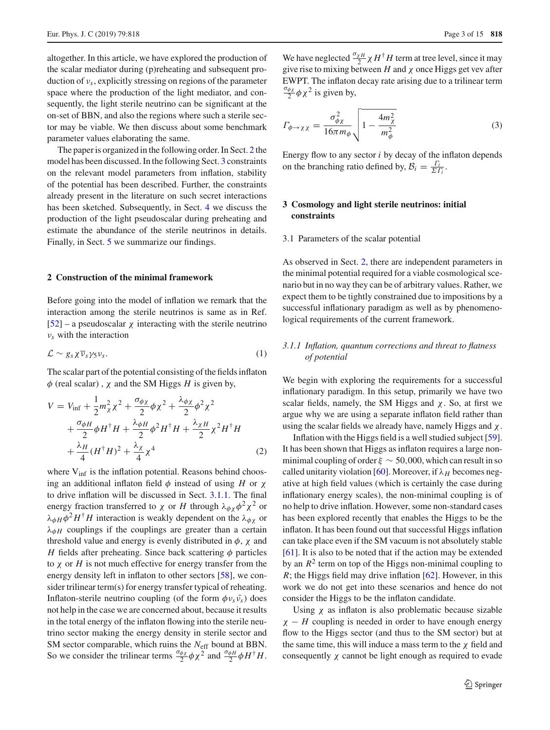altogether. In this article, we have explored the production of the scalar mediator during (p)reheating and subsequent production of ν*s*, explicitly stressing on regions of the parameter space where the production of the light mediator, and consequently, the light sterile neutrino can be significant at the on-set of BBN, and also the regions where such a sterile sector may be viable. We then discuss about some benchmark parameter values elaborating the same.

The paper is organized in the following order. In Sect. [2](#page-2-0) the model has been discussed. In the following Sect. [3](#page-2-1) constraints on the relevant model parameters from inflation, stability of the potential has been described. Further, the constraints already present in the literature on such secret interactions has been sketched. Subsequently, in Sect. [4](#page-6-0) we discuss the production of the light pseudoscalar during preheating and estimate the abundance of the sterile neutrinos in details. Finally, in Sect. [5](#page-10-0) we summarize our findings.

#### <span id="page-2-0"></span>**2 Construction of the minimal framework**

Before going into the model of inflation we remark that the interaction among the sterile neutrinos is same as in Ref.  $[52]$  $[52]$  – a pseudoscalar  $\chi$  interacting with the sterile neutrino ν*s* with the interaction

$$
\mathcal{L} \sim g_s \chi \overline{\nu}_s \gamma_5 \nu_s. \tag{1}
$$

The scalar part of the potential consisting of the fields inflaton  $\phi$  (real scalar),  $\chi$  and the SM Higgs *H* is given by,

<span id="page-2-3"></span>
$$
V = V_{\text{inf}} + \frac{1}{2} m_{\chi}^{2} \chi^{2} + \frac{\sigma_{\phi\chi}}{2} \phi \chi^{2} + \frac{\lambda_{\phi\chi}}{2} \phi^{2} \chi^{2} + \frac{\sigma_{\phi H}}{2} \phi H^{\dagger} H + \frac{\lambda_{\phi H}}{2} \phi^{2} H^{\dagger} H + \frac{\lambda_{\chi H}}{2} \chi^{2} H^{\dagger} H + \frac{\lambda_{H}}{4} (H^{\dagger} H)^{2} + \frac{\lambda_{\chi}}{4} \chi^{4}
$$
 (2)

where V<sub>inf</sub> is the inflation potential. Reasons behind choosing an additional inflaton field φ instead of using *H* or χ to drive inflation will be discussed in Sect. [3.1.1.](#page-2-2) The final energy fraction transferred to  $\chi$  or *H* through  $\lambda_{\phi\chi}\phi^2\chi^2$  or  $\lambda_{\phi H} \phi^2 H^{\dagger} H$  interaction is weakly dependent on the  $\lambda_{\phi \chi}$  or  $\lambda_{\phi H}$  couplings if the couplings are greater than a certain threshold value and energy is evenly distributed in  $\phi$ ,  $\chi$  and *H* fields after preheating. Since back scattering  $\phi$  particles to χ or *H* is not much effective for energy transfer from the energy density left in inflaton to other sectors [\[58\]](#page-13-36), we consider trilinear term(s) for energy transfer typical of reheating. Inflaton-sterile neutrino coupling (of the form  $\phi v_s \bar{v_s}$ ) does not help in the case we are concerned about, because it results in the total energy of the inflaton flowing into the sterile neutrino sector making the energy density in sterile sector and SM sector comparable, which ruins the *N*eff bound at BBN. So we consider the trilinear terms  $\frac{\sigma_{\phi\chi}}{2}\phi\chi^2$  and  $\frac{\sigma_{\phi H}}{2}\phi H^{\dagger}H$ .

We have neglected  $\frac{\sigma_{\chi H}}{2} \chi H^{\dagger} H$  term at tree level, since it may give rise to mixing between  $H$  and  $\chi$  once Higgs get vev after EWPT. The inflaton decay rate arising due to a trilinear term  $\frac{\sigma_{\phi\chi}}{2}\phi\chi^2$  is given by,

$$
\Gamma_{\phi \to \chi \chi} = \frac{\sigma_{\phi \chi}^2}{16\pi m_{\phi}} \sqrt{1 - \frac{4m_{\chi}^2}{m_{\phi}^2}}
$$
(3)

Energy flow to any sector *i* by decay of the inflaton depends on the branching ratio defined by,  $B_i = \frac{\Gamma_i}{\Sigma \Gamma_i}$ .

# <span id="page-2-1"></span>**3 Cosmology and light sterile neutrinos: initial constraints**

#### 3.1 Parameters of the scalar potential

As observed in Sect. [2,](#page-2-0) there are independent parameters in the minimal potential required for a viable cosmological scenario but in no way they can be of arbitrary values. Rather, we expect them to be tightly constrained due to impositions by a successful inflationary paradigm as well as by phenomenological requirements of the current framework.

# <span id="page-2-2"></span>*3.1.1 Inflation, quantum corrections and threat to flatness of potential*

We begin with exploring the requirements for a successful inflationary paradigm. In this setup, primarily we have two scalar fields, namely, the SM Higgs and  $\chi$ . So, at first we argue why we are using a separate inflaton field rather than using the scalar fields we already have, namely Higgs and  $\chi$ .

Inflation with the Higgs field is a well studied subject [\[59](#page-13-37)]. It has been shown that Higgs as inflaton requires a large nonminimal coupling of order  $\xi \sim 50,000$ , which can result in so called unitarity violation [\[60\]](#page-13-38). Moreover, if  $\lambda_H$  becomes negative at high field values (which is certainly the case during inflationary energy scales), the non-minimal coupling is of no help to drive inflation. However, some non-standard cases has been explored recently that enables the Higgs to be the inflaton. It has been found out that successful Higgs inflation can take place even if the SM vacuum is not absolutely stable [\[61](#page-13-39)]. It is also to be noted that if the action may be extended by an  $R^2$  term on top of the Higgs non-minimal coupling to *R*; the Higgs field may drive inflation [\[62\]](#page-13-40). However, in this work we do not get into these scenarios and hence do not consider the Higgs to be the inflaton candidate.

Using  $\chi$  as inflaton is also problematic because sizable  $\chi$  – *H* coupling is needed in order to have enough energy flow to the Higgs sector (and thus to the SM sector) but at the same time, this will induce a mass term to the  $\chi$  field and consequently  $\chi$  cannot be light enough as required to evade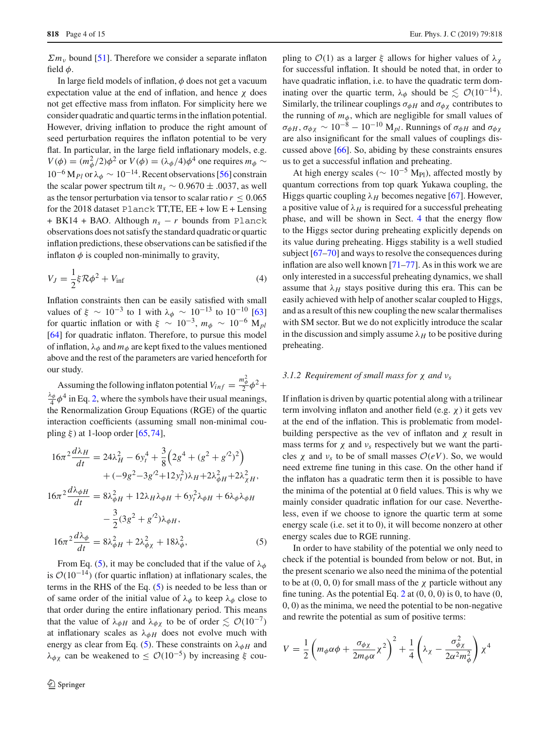$\sum m_{v}$  bound [\[51\]](#page-13-41). Therefore we consider a separate inflaton field  $\phi$ .

In large field models of inflation,  $\phi$  does not get a vacuum expectation value at the end of inflation, and hence  $\chi$  does not get effective mass from inflaton. For simplicity here we consider quadratic and quartic terms in the inflation potential. However, driving inflation to produce the right amount of seed perturbation requires the inflaton potential to be very flat. In particular, in the large field inflationary models, e.g.  $V(\phi) = (m_{\phi}^2/2)\phi^2$  or  $V(\phi) = (\lambda_{\phi}/4)\phi^4$  one requires  $m_{\phi} \sim$ <sup>10</sup>−<sup>6</sup> <sup>M</sup>*Pl* or λφ <sup>∼</sup> <sup>10</sup>−14. Recent observations [\[56\]](#page-13-34) constrain the scalar power spectrum tilt  $n_s \sim 0.9670 \pm .0037$ , as well as the tensor perturbation via tensor to scalar ratio  $r < 0.065$ for the 2018 dataset Planck TT,TE, EE + low E + Lensing + BK14 + BAO. Although  $n_s - r$  bounds from Planck observations does not satisfy the standard quadratic or quartic inflation predictions, these observations can be satisfied if the inflaton  $\phi$  is coupled non-minimally to gravity,

$$
V_J = \frac{1}{2}\xi \mathcal{R}\phi^2 + V_{\text{inf}}\tag{4}
$$

Inflation constraints then can be easily satisfied with small values of  $\xi \sim 10^{-3}$  to 1 with  $\lambda_{\phi} \sim 10^{-13}$  to  $10^{-10}$  [\[63\]](#page-13-42) for quartic inflation or with  $\xi \sim 10^{-3}$ ,  $m_{\phi} \sim 10^{-6}$  M<sub>*pl*</sub> [\[64](#page-13-43)] for quadratic inflaton. Therefore, to pursue this model of inflation,  $\lambda_{\phi}$  and  $m_{\phi}$  are kept fixed to the values mentioned above and the rest of the parameters are varied henceforth for our study.

Assuming the following inflaton potential  $V_{inf} = \frac{m_{\phi}^2}{2} \phi^2 +$  $\frac{\lambda_{\phi}}{4} \phi^4$  in Eq. [2,](#page-2-3) where the symbols have their usual meanings, the Renormalization Group Equations (RGE) of the quartic interaction coefficients (assuming small non-minimal coupling  $\xi$ ) at 1-loop order [\[65](#page-13-44)[,74](#page-14-0)],

<span id="page-3-0"></span>
$$
16\pi^2 \frac{d\lambda_H}{dt} = 24\lambda_H^2 - 6y_t^4 + \frac{3}{8} \left( 2g^4 + (g^2 + g'^2)^2 \right) + (-9g^2 - 3g'^2 + 12y_t^2)\lambda_H + 2\lambda_{\phi H}^2 + 2\lambda_{\chi H}^2,
$$
  

$$
16\pi^2 \frac{d\lambda_{\phi H}}{dt} = 8\lambda_{\phi H}^2 + 12\lambda_H\lambda_{\phi H} + 6y_t^2\lambda_{\phi H} + 6\lambda_{\phi}\lambda_{\phi H} - \frac{3}{2} (3g^2 + g'^2)\lambda_{\phi H},
$$
  

$$
16\pi^2 \frac{d\lambda_{\phi}}{dt} = 8\lambda_{\phi H}^2 + 2\lambda_{\phi \chi}^2 + 18\lambda_{\phi}^2,
$$
 (5)

From Eq. [\(5\)](#page-3-0), it may be concluded that if the value of  $\lambda_{\phi}$ is  $O(10^{-14})$  (for quartic inflation) at inflationary scales, the terms in the RHS of the Eq. [\(5\)](#page-3-0) is needed to be less than or of same order of the initial value of  $\lambda_{\phi}$  to keep  $\lambda_{\phi}$  close to that order during the entire inflationary period. This means that the value of  $\lambda_{\phi H}$  and  $\lambda_{\phi \chi}$  to be of order  $\lesssim \mathcal{O}(10^{-7})$ at inflationary scales as  $\lambda_{\phi H}$  does not evolve much with energy as clear from Eq. [\(5\)](#page-3-0). These constraints on  $\lambda_{\phi H}$  and λ<sub>φχ</sub> can be weakened to ≤  $\mathcal{O}(10^{-5})$  by increasing ξ coupling to  $\mathcal{O}(1)$  as a larger  $\xi$  allows for higher values of  $\lambda_{\gamma}$ for successful inflation. It should be noted that, in order to have quadratic inflation, i.e. to have the quadratic term dominating over the quartic term,  $\lambda_{\phi}$  should be  $\lesssim \mathcal{O}(10^{-14})$ . Similarly, the trilinear couplings  $\sigma_{\phi H}$  and  $\sigma_{\phi \chi}$  contributes to the running of  $m_{\phi}$ , which are negligible for small values of  $\sigma_{\phi H}$ ,  $\sigma_{\phi \chi} \sim 10^{-8} - 10^{-10}$  M<sub>*pl*</sub>. Runnings of  $\sigma_{\phi H}$  and  $\sigma_{\phi \chi}$ are also insignificant for the small values of couplings discussed above [\[66](#page-13-45)]. So, abiding by these constraints ensures us to get a successful inflation and preheating.

At high energy scales ( $\sim 10^{-5}$  M<sub>Pl</sub>), affected mostly by quantum corrections from top quark Yukawa coupling, the Higgs quartic coupling  $\lambda_H$  becomes negative [\[67\]](#page-13-46). However, a positive value of  $\lambda_H$  is required for a successful preheating phase, and will be shown in Sect. [4](#page-6-0) that the energy flow to the Higgs sector during preheating explicitly depends on its value during preheating. Higgs stability is a well studied subject [\[67](#page-13-46)[–70](#page-13-47)] and ways to resolve the consequences during inflation are also well known [\[71](#page-13-48)[–77](#page-14-1)]. As in this work we are only interested in a successful preheating dynamics, we shall assume that  $\lambda_H$  stays positive during this era. This can be easily achieved with help of another scalar coupled to Higgs, and as a result of this new coupling the new scalar thermalises with SM sector. But we do not explicitly introduce the scalar in the discussion and simply assume  $\lambda_H$  to be positive during preheating.

#### <span id="page-3-1"></span>*3.1.2 Requirement of small mass for* χ *and* ν*<sup>s</sup>*

If inflation is driven by quartic potential along with a trilinear term involving inflaton and another field (e.g.  $\chi$ ) it gets vev at the end of the inflation. This is problematic from modelbuilding perspective as the vev of inflaton and  $\chi$  result in mass terms for  $\chi$  and  $\nu_s$  respectively but we want the particles  $\chi$  and  $\nu_s$  to be of small masses  $O(eV)$ . So, we would need extreme fine tuning in this case. On the other hand if the inflaton has a quadratic term then it is possible to have the minima of the potential at 0 field values. This is why we mainly consider quadratic inflation for our case. Nevertheless, even if we choose to ignore the quartic term at some energy scale (i.e. set it to 0), it will become nonzero at other energy scales due to RGE running.

In order to have stability of the potential we only need to check if the potential is bounded from below or not. But, in the present scenario we also need the minima of the potential to be at  $(0, 0, 0)$  for small mass of the  $\chi$  particle without any fine tuning. As the potential Eq. [2](#page-2-3) at  $(0, 0, 0)$  is 0, to have  $(0, 0, 0)$ 0, 0) as the minima, we need the potential to be non-negative and rewrite the potential as sum of positive terms:

$$
V = \frac{1}{2} \left( m_{\phi} \alpha \phi + \frac{\sigma_{\phi \chi}}{2 m_{\phi} \alpha} \chi^2 \right)^2 + \frac{1}{4} \left( \lambda_{\chi} - \frac{\sigma_{\phi \chi}^2}{2 \alpha^2 m_{\phi}^2} \right) \chi^4
$$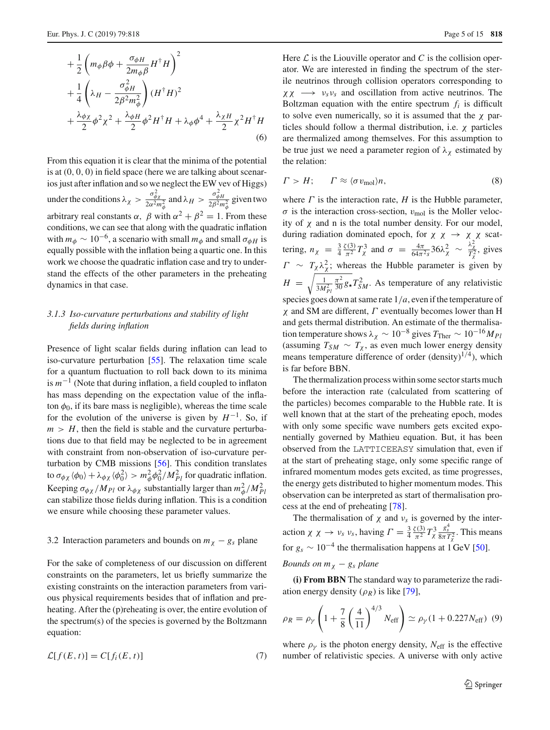$$
+\frac{1}{2}\left(m_{\phi}\beta\phi + \frac{\sigma_{\phi H}}{2m_{\phi}\beta}H^{\dagger}H\right)^{2} +\frac{1}{4}\left(\lambda_{H} - \frac{\sigma_{\phi H}^{2}}{2\beta^{2}m_{\phi}^{2}}\right)(H^{\dagger}H)^{2} +\frac{\lambda_{\phi\chi}}{2}\phi^{2}\chi^{2} + \frac{\lambda_{\phi H}}{2}\phi^{2}H^{\dagger}H + \lambda_{\phi}\phi^{4} + \frac{\lambda_{\chi H}}{2}\chi^{2}H^{\dagger}H
$$
(6)

From this equation it is clear that the minima of the potential is at (0, 0, 0) in field space (here we are talking about scenarios just after inflation and so we neglect the EW vev of Higgs) under the conditions  $\lambda_{\chi} > \frac{\sigma_{\phi\chi}^2}{2\alpha^2 m_\phi^2}$  and  $\lambda_H > \frac{\sigma_{\phi H}^2}{2\beta^2 m_\phi^2}$  given two arbitrary real constants  $\alpha$ ,  $\beta$  with  $\alpha^2 + \beta^2 = 1$ . From these conditions, we can see that along with the quadratic inflation with  $m_{\phi} \sim 10^{-6}$ , a scenario with small  $m_{\phi}$  and small  $\sigma_{\phi}$  is equally possible with the inflation being a quartic one. In this work we choose the quadratic inflation case and try to understand the effects of the other parameters in the preheating dynamics in that case.

# *3.1.3 Iso-curvature perturbations and stability of light fields during inflation*

Presence of light scalar fields during inflation can lead to iso-curvature perturbation [\[55\]](#page-13-33). The relaxation time scale for a quantum fluctuation to roll back down to its minima is *m*−<sup>1</sup> (Note that during inflation, a field coupled to inflaton has mass depending on the expectation value of the inflaton  $\phi_0$ , if its bare mass is negligible), whereas the time scale for the evolution of the universe is given by  $H^{-1}$ . So, if  $m > H$ , then the field is stable and the curvature perturbations due to that field may be neglected to be in agreement with constraint from non-observation of iso-curvature perturbation by CMB missions [\[56](#page-13-34)]. This condition translates to  $\sigma_{\phi\chi} \langle \phi_0 \rangle + \lambda_{\phi\chi} \langle \phi_0^2 \rangle > m_\phi^2 \phi_0^2 / M_{Pl}^2$  for quadratic inflation. Keeping  $\sigma_{\phi \chi} / M_{Pl}$  or  $\lambda_{\phi \chi}$  substantially larger than  $m_{\phi}^2 / M_{Pl}^2$ can stabilize those fields during inflation. This is a condition we ensure while choosing these parameter values.

## 3.2 Interaction parameters and bounds on  $m<sub>\chi</sub> - g<sub>s</sub>$  plane

For the sake of completeness of our discussion on different constraints on the parameters, let us briefly summarize the existing constraints on the interaction parameters from various physical requirements besides that of inflation and preheating. After the (p)reheating is over, the entire evolution of the spectrum(s) of the species is governed by the Boltzmann equation:

$$
\mathcal{L}[f(E,t)] = C[f_i(E,t)] \tag{7}
$$

Here  $\mathcal L$  is the Liouville operator and  $C$  is the collision operator. We are interested in finding the spectrum of the sterile neutrinos through collision operators corresponding to  $\chi \chi \rightarrow \nu_s \nu_s$  and oscillation from active neutrinos. The Boltzman equation with the entire spectrum  $f_i$  is difficult to solve even numerically, so it is assumed that the  $\chi$  particles should follow a thermal distribution, i.e.  $\chi$  particles are thermalized among themselves. For this assumption to be true just we need a parameter region of  $\lambda_{\chi}$  estimated by the relation:

$$
\Gamma > H; \qquad \Gamma \approx \langle \sigma v_{\text{mol}} \rangle n, \tag{8}
$$

where  $\Gamma$  is the interaction rate,  $H$  is the Hubble parameter,  $\sigma$  is the interaction cross-section,  $v_{\text{mol}}$  is the Moller velocity of  $\chi$  and n is the total number density. For our model, during radiation dominated epoch, for  $\chi \chi \rightarrow \chi \chi$  scattering,  $n_\chi = \frac{3}{4}$  $\frac{\zeta(3)}{\pi^2} T_\chi^3$  and  $\sigma = \frac{4\pi}{64\pi^2 s} 36\lambda_\chi^2 \sim \frac{\lambda_\chi^2}{T_\chi^2}$ , gives  $\Gamma \sim T_{\chi} \lambda_{\chi}^2$ ; whereas the Hubble parameter is given by  $H = \sqrt{\frac{1}{3M}}$  $3M_{Pl}^2$  $\frac{\pi^2}{30} g_{\star} T_{SM}^2$ . As temperature of any relativistic species goes down at same rate 1/*a*, even if the temperature of  $\chi$  and SM are different,  $\Gamma$  eventually becomes lower than H and gets thermal distribution. An estimate of the thermalisation temperature shows  $\lambda_{\chi} \sim 10^{-8}$  gives  $T_{\text{Ther}} \sim 10^{-16} M_{Pl}$ (assuming  $T_{SM} \sim T_{\chi}$ , as even much lower energy density means temperature difference of order  $(density)^{1/4}$ ), which is far before BBN.

The thermalization process within some sector starts much before the interaction rate (calculated from scattering of the particles) becomes comparable to the Hubble rate. It is well known that at the start of the preheating epoch, modes with only some specific wave numbers gets excited exponentially governed by Mathieu equation. But, it has been observed from the LATTICEEASY simulation that, even if at the start of preheating stage, only some specific range of infrared momentum modes gets excited, as time progresses, the energy gets distributed to higher momentum modes. This observation can be interpreted as start of thermalisation process at the end of preheating [\[78](#page-14-2)].

The thermalisation of  $\chi$  and  $\nu_s$  is governed by the interaction  $\chi \chi \to \nu_s \nu_s$ , having  $\Gamma = \frac{3}{4}$  $\frac{\zeta(3)}{\pi^2}T_\chi^3$  $rac{g_s^4}{8\pi T_\chi^2}$ . This means for  $g_s \sim 10^{-4}$  the thermalisation happens at 1 GeV [\[50](#page-13-49)]. *Bounds on*  $m<sub>X</sub> - g<sub>S</sub>$  *plane* 

**(i) From BBN** The standard way to parameterize the radiation energy density  $(\rho_R)$  is like [\[79\]](#page-14-3),

$$
\rho_R = \rho_\gamma \left( 1 + \frac{7}{8} \left( \frac{4}{11} \right)^{4/3} N_{\text{eff}} \right) \simeq \rho_\gamma (1 + 0.227 N_{\text{eff}}) \tag{9}
$$

where  $\rho_{\gamma}$  is the photon energy density,  $N_{\text{eff}}$  is the effective number of relativistic species. A universe with only active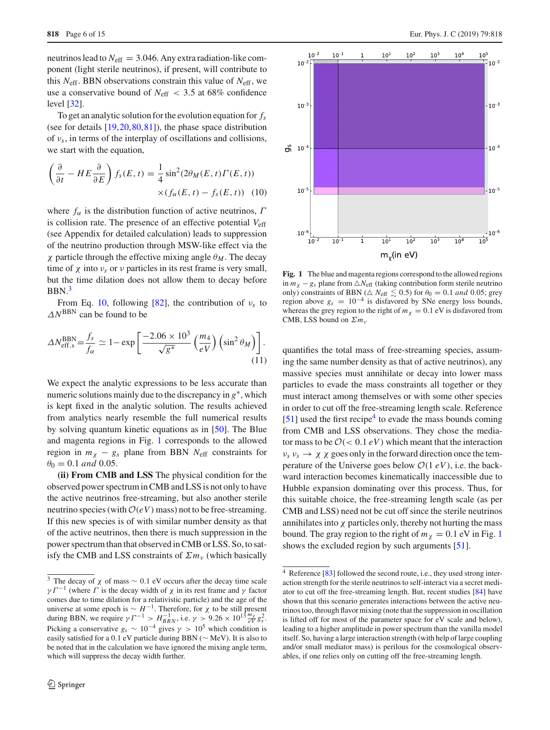neutrinos lead to  $N_{\text{eff}} = 3.046$ . Any extra radiation-like component (light sterile neutrinos), if present, will contribute to this  $N_{\text{eff}}$ . BBN observations constrain this value of  $N_{\text{eff}}$ , we use a conservative bound of *N*eff < 3.5 at 68% confidence level [\[32\]](#page-13-15).

To get an analytic solution for the evolution equation for *fs* (see for details [\[19](#page-13-8),[20,](#page-13-50)[80](#page-14-4)[,81](#page-14-5)]), the phase space distribution of ν*s*, in terms of the interplay of oscillations and collisions, we start with the equation,

<span id="page-5-1"></span>
$$
\left(\frac{\partial}{\partial t} - HE\frac{\partial}{\partial E}\right) f_s(E, t) = \frac{1}{4}\sin^2(2\theta_M(E, t)\Gamma(E, t))
$$
  
 
$$
\times (f_\alpha(E, t) - f_s(E, t))
$$
 (10)

where  $f_{\alpha}$  is the distribution function of active neutrinos,  $\Gamma$ is collision rate. The presence of an effective potential *V*eff (see Appendix for detailed calculation) leads to suppression of the neutrino production through MSW-like effect via the χ particle through the effective mixing angle θ*M* . The decay time of  $\chi$  into  $\nu_s$  or  $\nu$  particles in its rest frame is very small, but the time dilation does not allow them to decay before  $BBN<sup>3</sup>$  $BBN<sup>3</sup>$  $BBN<sup>3</sup>$ 

From Eq. [10,](#page-5-1) following [\[82\]](#page-14-6), the contribution of  $v_s$  to  $\Delta N^{\text{BBN}}$  can be found to be

$$
\Delta N_{\rm eff,s}^{\rm BBN} = \frac{f_s}{f_\alpha} \simeq 1 - \exp\left[\frac{-2.06 \times 10^3}{\sqrt{g^*}} \left(\frac{m_4}{eV}\right) \left(\sin^2 \theta_M\right)\right].\tag{11}
$$

We expect the analytic expressions to be less accurate than numeric solutions mainly due to the discrepancy in *g*∗, which is kept fixed in the analytic solution. The results achieved from analytics nearly resemble the full numerical results by solving quantum kinetic equations as in [\[50\]](#page-13-49). The Blue and magenta regions in Fig. [1](#page-5-2) corresponds to the allowed region in  $m<sub>\chi</sub> - g<sub>s</sub>$  plane from BBN  $N<sub>eff</sub>$  constraints for  $\theta_0 = 0.1$  *and* 0.05.

**(ii) From CMB and LSS** The physical condition for the observed power spectrum in CMB and LSS is not only to have the active neutrinos free-streaming, but also another sterile neutrino species (with  $O(eV)$  mass) not to be free-streaming. If this new species is of with similar number density as that of the active neutrinos, then there is much suppression in the power spectrum than that observed in CMB or LSS. So, to satisfy the CMB and LSS constraints of  $\sum m_{\nu}$  (which basically



<span id="page-5-2"></span>**Fig. 1** The blue and magenta regions correspond to the allowed regions in  $m<sub>X</sub> - g<sub>S</sub>$  plane from  $\triangle N$ <sub>eff</sub> (taking contribution form sterile neutrino only) constraints of BBN ( $\triangle N_{\text{eff}} \lesssim 0.5$ ) for  $\theta_0 = 0.1$  *and* 0.05; grey region above  $g_s = 10^{-4}$  is disfavored by SNe energy loss bounds, whereas the grey region to the right of  $m<sub>\chi</sub> = 0.1$  eV is disfavored from CMB, LSS bound on Σ*m*<sup>ν</sup>

quantifies the total mass of free-streaming species, assuming the same number density as that of active neutrinos), any massive species must annihilate or decay into lower mass particles to evade the mass constraints all together or they must interact among themselves or with some other species in order to cut off the free-streaming length scale. Reference  $[51]$  $[51]$  used the first recipe<sup>4</sup> to evade the mass bounds coming from CMB and LSS observations. They chose the mediator mass to be  $O(< 0.1 eV)$  which meant that the interaction  $\nu_s \nu_s \rightarrow \chi \chi$  goes only in the forward direction once the temperature of the Universe goes below  $O(1 \, eV)$ , i.e. the backward interaction becomes kinematically inaccessible due to Hubble expansion dominating over this process. Thus, for this suitable choice, the free-streaming length scale (as per CMB and LSS) need not be cut off since the sterile neutrinos annihilates into  $\chi$  particles only, thereby not hurting the mass bound. The gray region to the right of  $m<sub>x</sub> = 0.1$  $m<sub>x</sub> = 0.1$  eV in Fig. 1 shows the excluded region by such arguments [\[51](#page-13-41)].

<span id="page-5-0"></span><sup>&</sup>lt;sup>3</sup> The decay of  $\chi$  of mass  $\sim$  0.1 eV occurs after the decay time scale  $\gamma I^{-1}$  (where  $\Gamma$  is the decay width of  $\chi$  in its rest frame and  $\gamma$  factor comes due to time dilation for a relativistic particle) and the age of the universe at some epoch is ∼ *H*<sup>−1</sup>. Therefore, for *χ* to be still present during BBN, we require  $γT^{-1} > H_{BBN}^{-1}$ , i.e.  $γ > 9.26 × 10^{13} \frac{m_{χ}}{eV} g_s^2$ . Picking a conservative  $g_s \sim 10^{-4}$  gives  $\gamma > 10^5$  which condition is easily satisfied for a 0.1 eV particle during BBN (∼ MeV). It is also to be noted that in the calculation we have ignored the mixing angle term, which will suppress the decay width further.

<span id="page-5-3"></span><sup>4</sup> Reference [\[83\]](#page-14-7) followed the second route, i.e., they used strong interaction strength for the sterile neutrinos to self-interact via a secret mediator to cut off the free-streaming length. But, recent studies [\[84](#page-14-8)] have shown that this scenario generates interactions between the active neutrinos too, through flavor mixing (note that the suppression in oscillation is lifted off for most of the parameter space for eV scale and below), leading to a higher amplitude in power spectrum than the vanilla model itself. So, having a large interaction strength (with help of large coupling and/or small mediator mass) is perilous for the cosmological observables, if one relies only on cutting off the free-streaming length.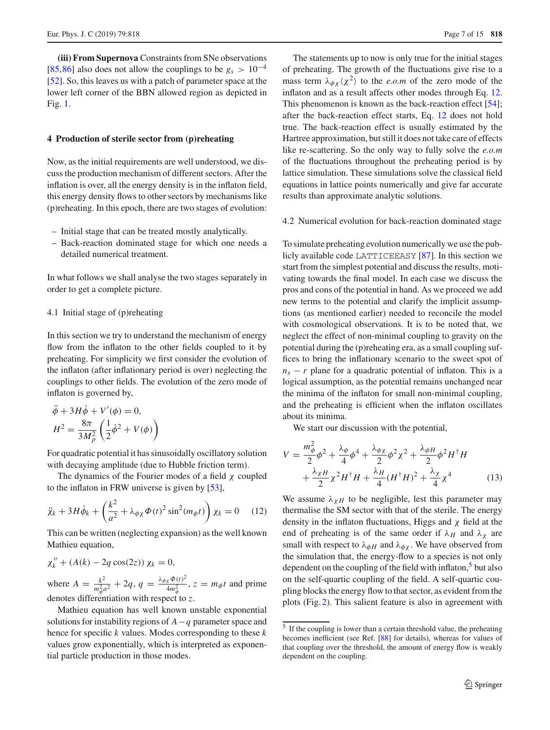**(iii) From Supernova** Constraints from SNe observations [\[85](#page-14-9),[86\]](#page-14-10) also does not allow the couplings to be  $g_s > 10^{-4}$ [\[52](#page-13-30)]. So, this leaves us with a patch of parameter space at the lower left corner of the BBN allowed region as depicted in Fig. [1.](#page-5-2)

#### <span id="page-6-0"></span>**4 Production of sterile sector from (p)reheating**

Now, as the initial requirements are well understood, we discuss the production mechanism of different sectors. After the inflation is over, all the energy density is in the inflaton field, this energy density flows to other sectors by mechanisms like (p)reheating. In this epoch, there are two stages of evolution:

- Initial stage that can be treated mostly analytically.
- Back-reaction dominated stage for which one needs a detailed numerical treatment.

In what follows we shall analyse the two stages separately in order to get a complete picture.

#### 4.1 Initial stage of (p)reheating

In this section we try to understand the mechanism of energy flow from the inflaton to the other fields coupled to it by preheating. For simplicity we first consider the evolution of the inflaton (after inflationary period is over) neglecting the couplings to other fields. The evolution of the zero mode of inflaton is governed by,

$$
\ddot{\phi} + 3H\dot{\phi} + V'(\phi) = 0,
$$
  

$$
H^2 = \frac{8\pi}{3M_p^2} \left(\frac{1}{2}\dot{\phi}^2 + V(\phi)\right)
$$

For quadratic potential it has sinusoidally oscillatory solution with decaying amplitude (due to Hubble friction term).

The dynamics of the Fourier modes of a field  $\chi$  coupled to the inflaton in FRW universe is given by [\[53\]](#page-13-31),

<span id="page-6-1"></span>
$$
\ddot{\chi}_k + 3H\dot{\phi}_k + \left(\frac{k^2}{a^2} + \lambda_{\phi\chi}\Phi(t)^2\sin^2(m_{\phi}t)\right)\chi_k = 0 \quad (12)
$$

This can be written (neglecting expansion) as the well known Mathieu equation,

$$
\chi_k'' + (A(k) - 2q \cos(2z)) \chi_k = 0,
$$

where  $A = \frac{k^2}{m_\phi^2 a^2} + 2q$ ,  $q = \frac{\lambda_{\phi\chi}\Phi(t)^2}{4m_\phi^2}$ ,  $z = m_\phi t$  and prime denotes differentiation with respect to *z*.

Mathieu equation has well known unstable exponential solutions for instability regions of *A*−*q* parameter space and hence for specific *k* values. Modes corresponding to these *k* values grow exponentially, which is interpreted as exponential particle production in those modes.

The statements up to now is only true for the initial stages of preheating. The growth of the fluctuations give rise to a mass term  $\lambda_{\phi\chi}\langle \chi^2 \rangle$  to the *e.o.m* of the zero mode of the inflaton and as a result affects other modes through Eq. [12.](#page-6-1) This phenomenon is known as the back-reaction effect [\[54](#page-13-32)]; after the back-reaction effect starts, Eq. [12](#page-6-1) does not hold true. The back-reaction effect is usually estimated by the Hartree approximation, but still it does not take care of effects like re-scattering. So the only way to fully solve the *e.o.m* of the fluctuations throughout the preheating period is by lattice simulation. These simulations solve the classical field equations in lattice points numerically and give far accurate results than approximate analytic solutions.

#### <span id="page-6-3"></span>4.2 Numerical evolution for back-reaction dominated stage

To simulate preheating evolution numerically we use the publicly available code LATTICEEASY [\[87\]](#page-14-11). In this section we start from the simplest potential and discuss the results, motivating towards the final model. In each case we discuss the pros and cons of the potential in hand. As we proceed we add new terms to the potential and clarify the implicit assumptions (as mentioned earlier) needed to reconcile the model with cosmological observations. It is to be noted that, we neglect the effect of non-minimal coupling to gravity on the potential during the (p)reheating era, as a small coupling suffices to bring the inflationary scenario to the sweet spot of  $n<sub>s</sub> - r$  plane for a quadratic potential of inflaton. This is a logical assumption, as the potential remains unchanged near the minima of the inflaton for small non-minimal coupling, and the preheating is efficient when the inflaton oscillates about its minima.

We start our discussion with the potential,

$$
V = \frac{m_{\phi}^2}{2}\phi^2 + \frac{\lambda_{\phi}}{4}\phi^4 + \frac{\lambda_{\phi\chi}}{2}\phi^2\chi^2 + \frac{\lambda_{\phi}H}{2}\phi^2H^{\dagger}H
$$

$$
+ \frac{\lambda_{\chi}H}{2}\chi^2H^{\dagger}H + \frac{\lambda_{H}}{4}(H^{\dagger}H)^2 + \frac{\lambda_{\chi}}{4}\chi^4
$$
(13)

We assume  $\lambda_{\chi H}$  to be negligible, lest this parameter may thermalise the SM sector with that of the sterile. The energy density in the inflaton fluctuations, Higgs and  $\chi$  field at the end of preheating is of the same order if  $\lambda_H$  and  $\lambda_\chi$  are small with respect to  $\lambda_{\phi H}$  and  $\lambda_{\phi \chi}$ . We have observed from the simulation that, the energy-flow to a species is not only dependent on the coupling of the field with inflaton, $5$  but also on the self-quartic coupling of the field. A self-quartic coupling blocks the energy flow to that sector, as evident from the plots (Fig. [2\)](#page-8-0). This salient feature is also in agreement with

<span id="page-6-2"></span><sup>5</sup> If the coupling is lower than a certain threshold value, the preheating becomes inefficient (see Ref. [\[88\]](#page-14-12) for details), whereas for values of that coupling over the threshold, the amount of energy flow is weakly dependent on the coupling.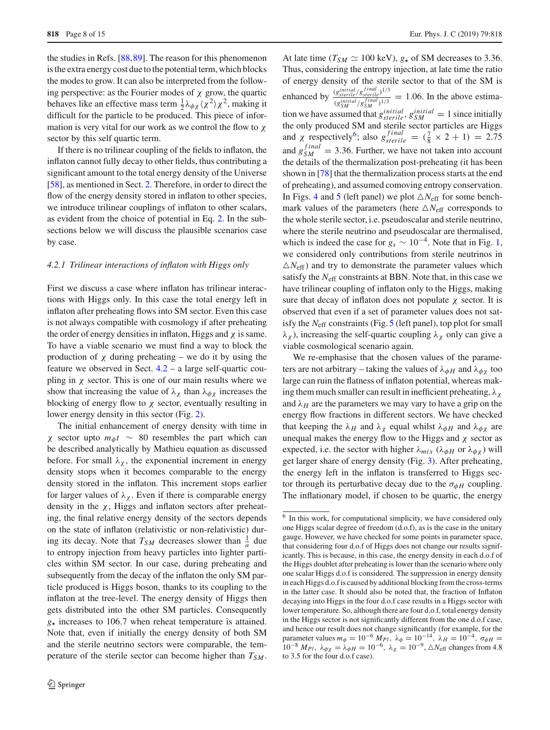the studies in Refs. [\[88](#page-14-12)[,89](#page-14-13)]. The reason for this phenomenon is the extra energy cost due to the potential term, which blocks the modes to grow. It can also be interpreted from the following perspective: as the Fourier modes of  $\chi$  grow, the quartic behaves like an effective mass term  $\frac{1}{2}\lambda_{\phi\chi}\langle \chi^2 \rangle \chi^2$ , making it difficult for the particle to be produced. This piece of information is very vital for our work as we control the flow to  $\chi$ sector by this self quartic term.

If there is no trilinear coupling of the fields to inflaton, the inflaton cannot fully decay to other fields, thus contributing a significant amount to the total energy density of the Universe [\[58](#page-13-36)], as mentioned in Sect. [2.](#page-2-0) Therefore, in order to direct the flow of the energy density stored in inflaton to other species, we introduce trilinear couplings of inflaton to other scalars, as evident from the choice of potential in Eq. [2.](#page-2-3) In the subsections below we will discuss the plausible scenarios case by case.

#### *4.2.1 Trilinear interactions of inflaton with Higgs only*

First we discuss a case where inflaton has trilinear interactions with Higgs only. In this case the total energy left in inflaton after preheating flows into SM sector. Even this case is not always compatible with cosmology if after preheating the order of energy densities in inflaton, Higgs and  $\chi$  is same. To have a viable scenario we must find a way to block the production of  $\chi$  during preheating – we do it by using the feature we observed in Sect. [4.2](#page-6-3) – a large self-quartic coupling in  $\chi$  sector. This is one of our main results where we show that increasing the value of  $\lambda_{\chi}$  than  $\lambda_{\phi\chi}$  increases the blocking of energy flow to  $\chi$  sector, eventually resulting in lower energy density in this sector (Fig. [2\)](#page-8-0).

The initial enhancement of energy density with time in χ sector upto *m*φ*t* ∼ 80 resembles the part which can be described analytically by Mathieu equation as discussed before. For small  $\lambda_{\chi}$ , the exponential increment in energy density stops when it becomes comparable to the energy density stored in the inflaton. This increment stops earlier for larger values of  $\lambda_{\gamma}$ . Even if there is comparable energy density in the  $\chi$ , Higgs and inflaton sectors after preheating, the final relative energy density of the sectors depends on the state of inflaton (relativistic or non-relativistic) during its decay. Note that  $T_{SM}$  decreases slower than  $\frac{1}{a}$  due to entropy injection from heavy particles into lighter particles within SM sector. In our case, during preheating and subsequently from the decay of the inflaton the only SM particle produced is Higgs boson, thanks to its coupling to the inflaton at the tree-level. The energy density of Higgs then gets distributed into the other SM particles. Consequently  $g_{\star}$  increases to 106.7 when reheat temperature is attained. Note that, even if initially the energy density of both SM and the sterile neutrino sectors were comparable, the temperature of the sterile sector can become higher than  $T_{SM}$ .

At late time ( $T_{SM} \simeq 100 \text{ keV}$ ),  $g_{\star}$  of SM decreases to 3.36. Thus, considering the entropy injection, at late time the ratio of energy density of the sterile sector to that of the SM is enhanced by  $\frac{(g_{sterile}^{initial}/g_{sterile}^{final})^{1/3}}{(\text{initial}, \text{final})^{1/3}}$  $\frac{(g_{\text{stiftal}}/g_{\text{SIM}}^{\text{final}})}{(g_{\text{SIM}}^{\text{final}}/g_{\text{SIM}}^{\text{final}})^{1/3}} = 1.06$ . In the above estimation we have assumed that  $g_{sterile}^{initial}$ ,  $g_{SM}^{initial} = 1$  since initially the only produced SM and sterile sector particles are Higgs and  $\chi$  respectively<sup>6</sup>; also  $g_{sterile}^{final} = (\frac{7}{8} \times 2 + 1) = 2.75$ and  $g_{SM}^{final} = 3.36$ . Further, we have not taken into account the details of the thermalization post-preheating (it has been shown in [\[78\]](#page-14-2) that the thermalization process starts at the end of preheating), and assumed comoving entropy conservation. In Figs. [4](#page-9-0) and [5](#page-9-1) (left panel) we plot  $\triangle N_{\text{eff}}$  for some benchmark values of the parameters (here  $\triangle N_{\text{eff}}$  corresponds to the whole sterile sector, i.e. pseudoscalar and sterile neutrino, where the sterile neutrino and pseudoscalar are thermalised, which is indeed the case for  $g_s \sim 10^{-4}$ . Note that in Fig. [1,](#page-5-2) we considered only contributions from sterile neutrinos in  $\Delta N_{\text{eff}}$ ) and try to demonstrate the parameter values which satisfy the *N*eff constraints at BBN. Note that, in this case we have trilinear coupling of inflaton only to the Higgs, making sure that decay of inflaton does not populate  $\chi$  sector. It is observed that even if a set of parameter values does not satisfy the *N*eff constraints (Fig. [5](#page-9-1) (left panel), top plot for small  $\lambda_{\chi}$ ), increasing the self-quartic coupling  $\lambda_{\chi}$  only can give a viable cosmological scenario again.

We re-emphasise that the chosen values of the parameters are not arbitrary – taking the values of  $\lambda_{\phi H}$  and  $\lambda_{\phi \chi}$  too large can ruin the flatness of inflaton potential, whereas making them much smaller can result in inefficient preheating,  $\lambda_{\chi}$ and  $\lambda$ <sub>H</sub> are the parameters we may vary to have a grip on the energy flow fractions in different sectors. We have checked that keeping the  $\lambda_H$  and  $\lambda_\chi$  equal whilst  $\lambda_{\phi}$  and  $\lambda_{\phi}$  are unequal makes the energy flow to the Higgs and  $\chi$  sector as expected, i.e. the sector with higher  $\lambda_{mix}$  ( $\lambda_{\phi H}$  or  $\lambda_{\phi \chi}$ ) will get larger share of energy density (Fig. [3\)](#page-8-1). After preheating, the energy left in the inflaton is transferred to Higgs sector through its perturbative decay due to the  $\sigma_{\phi H}$  coupling. The inflationary model, if chosen to be quartic, the energy

<span id="page-7-0"></span><sup>&</sup>lt;sup>6</sup> In this work, for computational simplicity, we have considered only one Higgs scalar degree of freedom (d.o.f), as is the case in the unitary gauge. However, we have checked for some points in parameter space, that considering four d.o.f of Higgs does not change our results significantly. This is because, in this case, the energy density in each d.o.f of the Higgs doublet after preheating is lower than the scenario where only one scalar Higgs d.o.f is considered. The suppression in energy density in each Higgs d.o.f is caused by additional blocking from the cross-terms in the latter case. It should also be noted that, the fraction of Inflaton decaying into Higgs in the four d.o.f case results in a Higgs sector with lower temperature. So, although there are four d.o.f, total energy density in the Higgs sector is not significantly different from the one d.o.f case, and hence our result does not change significantly (for example, for the parameter values  $m_{\phi} = 10^{-6} M_{Pl}$ ,  $\lambda_{\phi} = 10^{-14}$ ,  $\lambda_{H} = 10^{-4}$ ,  $\sigma_{\phi H} =$ 10<sup>-8</sup>  $M_{Pl}$ ,  $\lambda_{\phi\chi} = \lambda_{\phi H} = 10^{-6}$ ,  $\lambda_{\chi} = 10^{-9}$ , ∆ $N_{eff}$  changes from 4.8 to 3.5 for the four d.o.f case).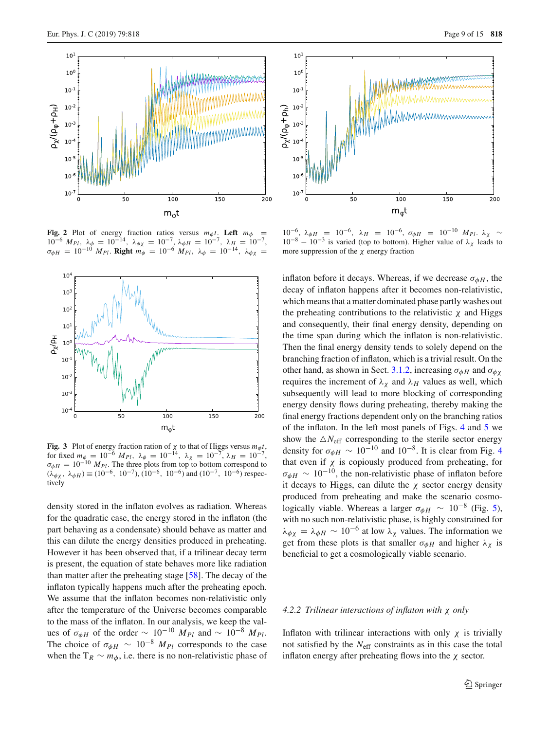

<span id="page-8-0"></span>**Fig. 2** Plot of energy fraction ratios versus  $m_{\phi}t$ . Left  $m_{\phi}$  =  $10^{-6}$  *M<sub>Pl</sub>*,  $\lambda_{\phi} = 10^{-14}$ ,  $\lambda_{\phi\chi} = 10^{-7}$ ,  $\lambda_{\phi H} = 10^{-7}$ ,  $\lambda_{\frac{H}{\chi}} = 10^{-7}$ ,  $\sigma_{\phi H} = 10^{-10} M_{Pl}$ . **Right**  $m_{\phi} = 10^{-6} M_{Pl}$ ,  $\lambda_{\phi} = 10^{-14}$ ,  $\lambda_{\phi \chi} =$ 



<span id="page-8-1"></span>**Fig. 3** Plot of energy fraction ration of  $\chi$  to that of Higgs versus  $m_{\phi}t$ , for fixed  $m_{\phi_{10}} = 10^{-6} M_{Pl}$ ,  $\lambda_{\phi} = 10^{-14}$ ,  $\lambda_{\chi} = 10^{-7}$ ,  $\lambda_{H} = 10^{-7}$ ,  $\sigma_{\phi H} = 10^{-10} M_{Pl}$ . The three plots from top to bottom correspond to  $(\lambda_{\phi\chi}, \lambda_{\phi H}) \equiv (10^{-6}, 10^{-7}), (10^{-6}, 10^{-6})$  and  $(10^{-7}, 10^{-6})$  respectively

density stored in the inflaton evolves as radiation. Whereas for the quadratic case, the energy stored in the inflaton (the part behaving as a condensate) should behave as matter and this can dilute the energy densities produced in preheating. However it has been observed that, if a trilinear decay term is present, the equation of state behaves more like radiation than matter after the preheating stage [\[58](#page-13-36)]. The decay of the inflaton typically happens much after the preheating epoch. We assume that the inflaton becomes non-relativistic only after the temperature of the Universe becomes comparable to the mass of the inflaton. In our analysis, we keep the values of  $\sigma_{\phi H}$  of the order ~ 10<sup>-10</sup>  $M_{Pl}$  and ~ 10<sup>-8</sup>  $M_{Pl}$ . The choice of  $\sigma_{\phi H} \sim 10^{-8} M_{Pl}$  corresponds to the case when the  $T_R \sim m_\phi$ , i.e. there is no non-relativistic phase of



10<sup>-6</sup>, λφ*H* = 10<sup>-6</sup>, λ*H* = 10<sup>-6</sup>, σφ*H* = 10<sup>-10</sup> *M<sub>PI</sub>*. λ<sub>χ</sub> ∼  $10^{-8} - 10^{-3}$  is varied (top to bottom). Higher value of  $\lambda_{\chi}$  leads to more suppression of the  $\chi$  energy fraction

inflaton before it decays. Whereas, if we decrease  $\sigma_{\phi H}$ , the decay of inflaton happens after it becomes non-relativistic, which means that a matter dominated phase partly washes out the preheating contributions to the relativistic  $\chi$  and Higgs and consequently, their final energy density, depending on the time span during which the inflaton is non-relativistic. Then the final energy density tends to solely depend on the branching fraction of inflaton, which is a trivial result. On the other hand, as shown in Sect. [3.1.2,](#page-3-1) increasing  $\sigma_{\phi}$ *H* and  $\sigma_{\phi}$ <sub>X</sub> requires the increment of  $\lambda_{\chi}$  and  $\lambda_{H}$  values as well, which subsequently will lead to more blocking of corresponding energy density flows during preheating, thereby making the final energy fractions dependent only on the branching ratios of the inflaton. In the left most panels of Figs. [4](#page-9-0) and [5](#page-9-1) we show the  $\triangle N_{\text{eff}}$  corresponding to the sterile sector energy density for  $\sigma_{\phi H} \sim 10^{-10}$  and  $10^{-8}$ . It is clear from Fig. [4](#page-9-0) that even if  $\chi$  is copiously produced from preheating, for  $\sigma_{\phi H} \sim 10^{-10}$ , the non-relativistic phase of inflaton before it decays to Higgs, can dilute the  $\chi$  sector energy density produced from preheating and make the scenario cosmologically viable. Whereas a larger  $\sigma_{\phi H} \sim 10^{-8}$  (Fig. [5\)](#page-9-1), with no such non-relativistic phase, is highly constrained for  $\lambda_{\phi\chi} = \lambda_{\phi H} \sim 10^{-6}$  at low  $\lambda_{\chi}$  values. The information we get from these plots is that smaller  $\sigma_{\phi H}$  and higher  $\lambda_{\chi}$  is beneficial to get a cosmologically viable scenario.

#### *4.2.2 Trilinear interactions of inflaton with* χ *only*

Inflaton with trilinear interactions with only  $\chi$  is trivially not satisfied by the *N*eff constraints as in this case the total inflaton energy after preheating flows into the χ sector.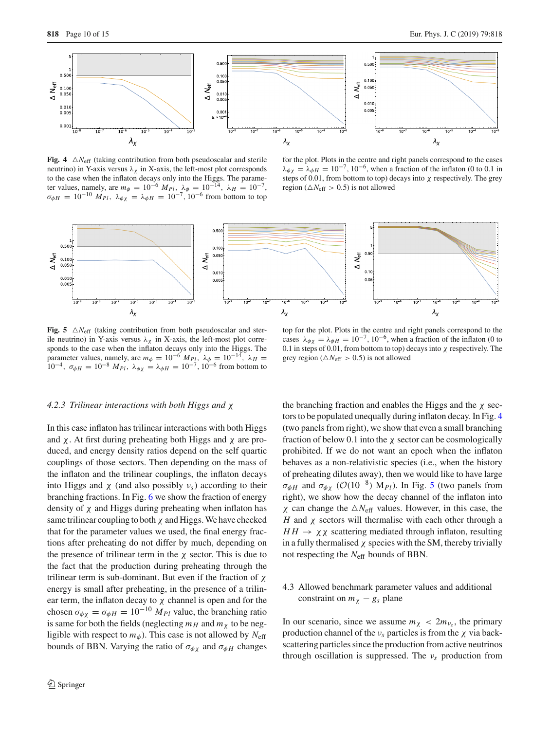

<span id="page-9-0"></span>**Fig. 4**  $\triangle N_{\text{eff}}$  (taking contribution from both pseudoscalar and sterile neutrino) in Y-axis versus  $\lambda_{\chi}$  in X-axis, the left-most plot corresponds to the case when the inflaton decays only into the Higgs. The parameter values, namely, are  $m_{\phi} = 10^{-6} M_{Pl}$ ,  $\lambda_{\phi} = 10^{-14}$ ,  $\lambda_{H} = 10^{-7}$ ,  $\sigma_{\phi H} = 10^{-10} M_{Pl}, \ \lambda_{\phi \chi} = \lambda_{\phi H} = 10^{-7}, 10^{-6}$  from bottom to top

for the plot. Plots in the centre and right panels correspond to the cases  $\lambda_{\phi\gamma} = \lambda_{\phi H} = 10^{-7}$ , 10<sup>-6</sup>, when a fraction of the inflaton (0 to 0.1 in steps of 0.01, from bottom to top) decays into  $\chi$  respectively. The grey region ( $\triangle N_{\text{eff}} > 0.5$ ) is not allowed



<span id="page-9-1"></span>**Fig. 5**  $\triangle N_{\text{eff}}$  (taking contribution from both pseudoscalar and sterile neutrino) in Y-axis versus  $\lambda_{\gamma}$  in X-axis, the left-most plot corresponds to the case when the inflaton decays only into the Higgs. The parameter values, namely, are  $m_{\phi} = 10^{-6} M_{Pl}$ ,  $\lambda_{\phi} = 10^{-14}$ ,  $\lambda_{H} =$ 10<sup>−4</sup>,  $\sigma_{\phi H} = 10^{-8} M_{Pl}$ ,  $\lambda_{\phi \chi} = \lambda_{\phi H} = 10^{-7}$ , 10<sup>−6</sup> from bottom to

top for the plot. Plots in the centre and right panels correspond to the cases  $\lambda_{\phi\chi} = \lambda_{\phi H} = 10^{-7}$ , 10<sup>-6</sup>, when a fraction of the inflaton (0 to 0.1 in steps of 0.01, from bottom to top) decays into  $\chi$  respectively. The grey region ( $\triangle N_{\text{eff}} > 0.5$ ) is not allowed

#### *4.2.3 Trilinear interactions with both Higgs and* χ

In this case inflaton has trilinear interactions with both Higgs and  $\chi$ . At first during preheating both Higgs and  $\chi$  are produced, and energy density ratios depend on the self quartic couplings of those sectors. Then depending on the mass of the inflaton and the trilinear couplings, the inflaton decays into Higgs and  $\chi$  (and also possibly  $v_s$ ) according to their branching fractions. In Fig. [6](#page-10-1) we show the fraction of energy density of  $\chi$  and Higgs during preheating when inflaton has same trilinear coupling to both  $\chi$  and Higgs. We have checked that for the parameter values we used, the final energy fractions after preheating do not differ by much, depending on the presence of trilinear term in the  $\chi$  sector. This is due to the fact that the production during preheating through the trilinear term is sub-dominant. But even if the fraction of  $\chi$ energy is small after preheating, in the presence of a trilinear term, the inflaton decay to  $\chi$  channel is open and for the chosen  $\sigma_{\phi\chi} = \sigma_{\phi H} = 10^{-10} M_{Pl}$  value, the branching ratio is same for both the fields (neglecting  $m_H$  and  $m_\chi$  to be negligible with respect to  $m_{\phi}$ ). This case is not allowed by  $N_{\text{eff}}$ bounds of BBN. Varying the ratio of  $\sigma_{\phi\chi}$  and  $\sigma_{\phi H}$  changes

the branching fraction and enables the Higgs and the  $\chi$  sectors to be populated unequally during inflaton decay. In Fig. [4](#page-9-0) (two panels from right), we show that even a small branching fraction of below 0.1 into the  $\chi$  sector can be cosmologically prohibited. If we do not want an epoch when the inflaton behaves as a non-relativistic species (i.e., when the history of preheating dilutes away), then we would like to have large  $\sigma_{\phi}$ *H* and  $\sigma_{\phi}$  ( $\mathcal{O}(10^{-8})$  M<sub>*Pl*</sub>). In Fig. [5](#page-9-1) (two panels from right), we show how the decay channel of the inflaton into  $\chi$  can change the  $\Delta N_{\text{eff}}$  values. However, in this case, the *H* and χ sectors will thermalise with each other through a  $HH \rightarrow \chi \chi$  scattering mediated through inflaton, resulting in a fully thermalised  $\chi$  species with the SM, thereby trivially not respecting the *N*eff bounds of BBN.

# 4.3 Allowed benchmark parameter values and additional constraint on  $m<sub>X</sub> - g<sub>s</sub>$  plane

In our scenario, since we assume  $m_{\chi} < 2m_{\nu_s}$ , the primary production channel of the  $v_s$  particles is from the  $\chi$  via backscattering particles since the production from active neutrinos through oscillation is suppressed. The  $v_s$  production from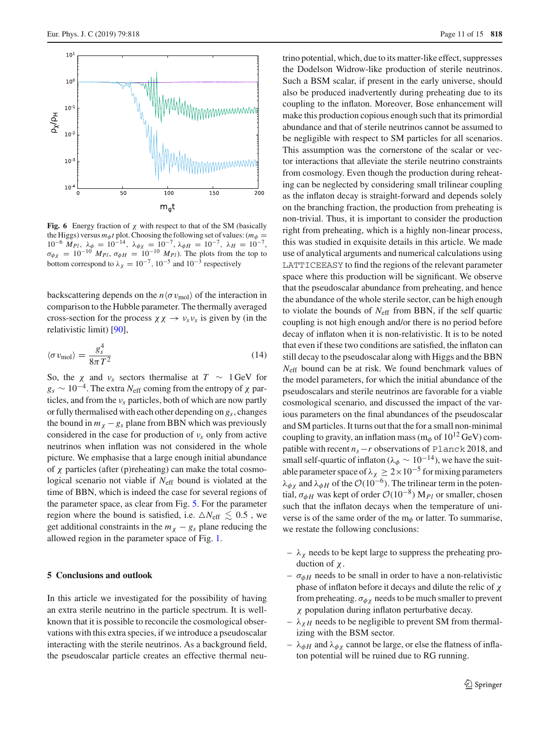

<span id="page-10-1"></span>**Fig. 6** Energy fraction of  $\chi$  with respect to that of the SM (basically the Higgs) versus  $m_{\phi}t$  plot. Choosing the following set of values:  $(m_{\phi} =$  $10^{-6}$  *M<sub>Pl</sub>*,  $\lambda_{\phi} = 10^{-14}$ ,  $\lambda_{\phi\chi} = 10^{-7}$ ,  $\lambda_{\phi H} = 10^{-7}$ ,  $\lambda_H = 10^{-7}$ ,  $\sigma_{\phi\chi}$  = 10<sup>-10</sup> *M<sub>Pl</sub>*,  $\sigma_{\phi H}$  = 10<sup>-10</sup> *M<sub>Pl</sub>*). The plots from the top to bottom correspond to  $\lambda_{\chi} = 10^{-7}$ ,  $10^{-5}$  and  $10^{-3}$  respectively

backscattering depends on the  $n \langle \sigma v_{\text{mol}} \rangle$  of the interaction in comparison to the Hubble parameter. The thermally averaged cross-section for the process  $\chi \chi \to \nu_s \nu_s$  is given by (in the relativistic limit) [\[90](#page-14-14)],

$$
\langle \sigma v_{\text{mol}} \rangle = \frac{g_s^4}{8\pi T^2} \tag{14}
$$

So, the  $\chi$  and  $\nu_s$  sectors thermalise at  $T \sim 1$  GeV for  $g_s \sim 10^{-4}$ . The extra *N*<sub>eff</sub> coming from the entropy of  $\chi$  particles, and from the ν*s* particles, both of which are now partly or fully thermalised with each other depending on *gs*, changes the bound in  $m<sub>X</sub> - g<sub>s</sub>$  plane from BBN which was previously considered in the case for production of ν*s* only from active neutrinos when inflation was not considered in the whole picture. We emphasise that a large enough initial abundance of χ particles (after (p)reheating) can make the total cosmological scenario not viable if  $N_{\text{eff}}$  bound is violated at the time of BBN, which is indeed the case for several regions of the parameter space, as clear from Fig. [5.](#page-9-1) For the parameter region where the bound is satisfied, i.e.  $\triangle N_{\text{eff}} \lesssim 0.5$ , we get additional constraints in the  $m<sub>\chi</sub> - g<sub>s</sub>$  plane reducing the allowed region in the parameter space of Fig. [1.](#page-5-2)

#### <span id="page-10-0"></span>**5 Conclusions and outlook**

In this article we investigated for the possibility of having an extra sterile neutrino in the particle spectrum. It is wellknown that it is possible to reconcile the cosmological observations with this extra species, if we introduce a pseudoscalar interacting with the sterile neutrinos. As a background field, the pseudoscalar particle creates an effective thermal neutrino potential, which, due to its matter-like effect, suppresses the Dodelson Widrow-like production of sterile neutrinos. Such a BSM scalar, if present in the early universe, should also be produced inadvertently during preheating due to its coupling to the inflaton. Moreover, Bose enhancement will make this production copious enough such that its primordial abundance and that of sterile neutrinos cannot be assumed to be negligible with respect to SM particles for all scenarios. This assumption was the cornerstone of the scalar or vector interactions that alleviate the sterile neutrino constraints from cosmology. Even though the production during reheating can be neglected by considering small trilinear coupling as the inflaton decay is straight-forward and depends solely on the branching fraction, the production from preheating is non-trivial. Thus, it is important to consider the production right from preheating, which is a highly non-linear process, this was studied in exquisite details in this article. We made use of analytical arguments and numerical calculations using LATTICEEASY to find the regions of the relevant parameter space where this production will be significant. We observe that the pseudoscalar abundance from preheating, and hence the abundance of the whole sterile sector, can be high enough to violate the bounds of *N*eff from BBN, if the self quartic coupling is not high enough and/or there is no period before decay of inflaton when it is non-relativistic. It is to be noted that even if these two conditions are satisfied, the inflaton can still decay to the pseudoscalar along with Higgs and the BBN *N*eff bound can be at risk. We found benchmark values of the model parameters, for which the initial abundance of the pseudoscalars and sterile neutrinos are favorable for a viable cosmological scenario, and discussed the impact of the various parameters on the final abundances of the pseudoscalar and SM particles. It turns out that the for a small non-minimal coupling to gravity, an inflation mass ( $m_\phi$  of  $10^{12}$  GeV) compatible with recent  $n_s - r$  observations of Planck 2018, and small self-quartic of inflaton ( $\lambda_{\phi} \sim 10^{-14}$ ), we have the suitable parameter space of  $\lambda_{\chi} \geq 2 \times 10^{-5}$  for mixing parameters  $\lambda_{\phi\gamma}$  and  $\lambda_{\phi H}$  of the  $\mathcal{O}(10^{-6})$ . The trilinear term in the potential,  $\sigma_{\phi H}$  was kept of order  $\mathcal{O}(10^{-8})$  M<sub>*Pl*</sub> or smaller, chosen such that the inflaton decays when the temperature of universe is of the same order of the  $m_{\phi}$  or latter. To summarise, we restate the following conclusions:

- $-\lambda_{\chi}$  needs to be kept large to suppress the preheating production of χ.
- $-\sigma_{\phi}$ *H* needs to be small in order to have a non-relativistic phase of inflaton before it decays and dilute the relic of  $χ$ from preheating.  $\sigma_{\phi\chi}$  needs to be much smaller to prevent χ population during inflaton perturbative decay.
- $-\lambda_{\gamma}$  *H* needs to be negligible to prevent SM from thermalizing with the BSM sector.
- $-\lambda_{\phi H}$  and  $\lambda_{\phi \chi}$  cannot be large, or else the flatness of inflaton potential will be ruined due to RG running.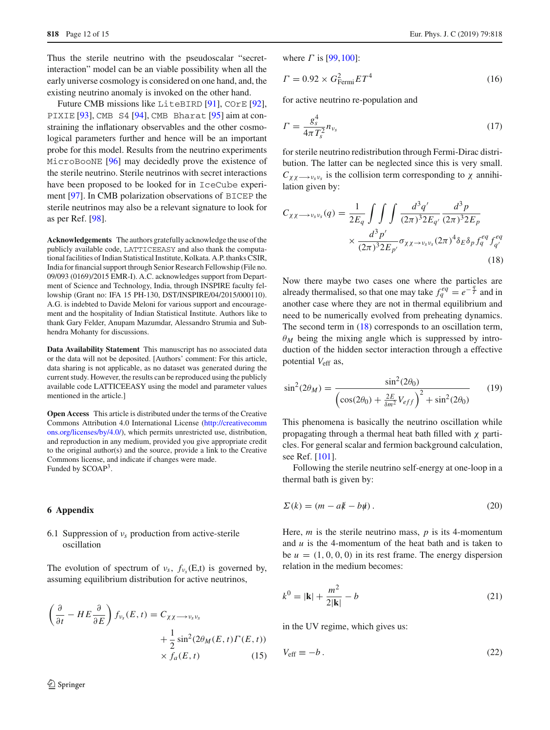Thus the sterile neutrino with the pseudoscalar "secretinteraction" model can be an viable possibility when all the early universe cosmology is considered on one hand, and, the existing neutrino anomaly is invoked on the other hand.

Future CMB missions like LiteBIRD [\[91\]](#page-14-15), COrE [\[92](#page-14-16)], PIXIE [\[93](#page-14-17)], CMB S4 [\[94\]](#page-14-18), CMB Bharat [\[95](#page-14-19)] aim at constraining the inflationary observables and the other cosmological parameters further and hence will be an important probe for this model. Results from the neutrino experiments MicroBooNE [\[96\]](#page-14-20) may decidedly prove the existence of the sterile neutrino. Sterile neutrinos with secret interactions have been proposed to be looked for in IceCube experiment [\[97\]](#page-14-21). In CMB polarization observations of BICEP the sterile neutrinos may also be a relevant signature to look for as per Ref. [\[98\]](#page-14-22).

**Acknowledgements** The authors gratefully acknowledge the use of the publicly available code, LATTICEEASY and also thank the computational facilities of Indian Statistical Institute, Kolkata. A.P. thanks CSIR, India for financial support through Senior Research Fellowship (File no. 09/093 (0169)/2015 EMR-I). A.C. acknowledges support from Department of Science and Technology, India, through INSPIRE faculty fellowship (Grant no: IFA 15 PH-130, DST/INSPIRE/04/2015/000110). A.G. is indebted to Davide Meloni for various support and encouragement and the hospitality of Indian Statistical Institute. Authors like to thank Gary Felder, Anupam Mazumdar, Alessandro Strumia and Subhendra Mohanty for discussions.

**Data Availability Statement** This manuscript has no associated data or the data will not be deposited. [Authors' comment: For this article, data sharing is not applicable, as no dataset was generated during the current study. However, the results can be reproduced using the publicly available code LATTICEEASY using the model and parameter values mentioned in the article.]

**Open Access** This article is distributed under the terms of the Creative Commons Attribution 4.0 International License [\(http://creativecomm](http://creativecommons.org/licenses/by/4.0/) [ons.org/licenses/by/4.0/\)](http://creativecommons.org/licenses/by/4.0/), which permits unrestricted use, distribution, and reproduction in any medium, provided you give appropriate credit to the original author(s) and the source, provide a link to the Creative Commons license, and indicate if changes were made. Funded by SCOAP<sup>3</sup>.

#### **6 Appendix**

## 6.1 Suppression of ν*s* production from active-sterile oscillation

The evolution of spectrum of  $v_s$ ,  $f_{v_s}(E,t)$  is governed by, assuming equilibrium distribution for active neutrinos,

$$
\left(\frac{\partial}{\partial t} - HE \frac{\partial}{\partial E}\right) f_{v_s}(E, t) = C_{\chi\chi \longrightarrow v_s v_s} + \frac{1}{2} \sin^2(2\theta_M(E, t) \Gamma(E, t)) \times f_a(E, t)
$$
\n(15)

where  $\Gamma$  is [\[99](#page-14-23), 100]:

$$
\Gamma = 0.92 \times G_{\text{Fermi}}^2 ET^4 \tag{16}
$$

for active neutrino re-population and

$$
\Gamma = \frac{g_s^4}{4\pi T_s^2} n_{\nu_s} \tag{17}
$$

for sterile neutrino redistribution through Fermi-Dirac distribution. The latter can be neglected since this is very small.  $C_{\chi\chi\rightarrow\nu_s\nu_s}$  is the collision term corresponding to  $\chi$  annihilation given by:

<span id="page-11-0"></span>
$$
C_{\chi\chi \longrightarrow \nu_s \nu_s}(q) = \frac{1}{2E_q} \int \int \int \frac{d^3q'}{(2\pi)^3 2E_{q'}} \frac{d^3p}{(2\pi)^3 2E_p} \times \frac{d^3p'}{(2\pi)^3 2E_{p'}} \sigma_{\chi\chi \longrightarrow \nu_s \nu_s} (2\pi)^4 \delta_E \delta_p f_q^{eq} f_{q'}^{eq} \tag{18}
$$

Now there maybe two cases one where the particles are already thermalised, so that one may take  $f_q^{eq} = e^{-\frac{q}{T}}$  and in another case where they are not in thermal equilibrium and need to be numerically evolved from preheating dynamics. The second term in  $(18)$  corresponds to an oscillation term,  $\theta_M$  being the mixing angle which is suppressed by introduction of the hidden sector interaction through a effective potential *V*eff as,

<span id="page-11-1"></span>
$$
\sin^2(2\theta_M) = \frac{\sin^2(2\theta_0)}{\left(\cos(2\theta_0) + \frac{2E}{\delta m^2}V_{eff}\right)^2 + \sin^2(2\theta_0)}
$$
(19)

This phenomena is basically the neutrino oscillation while propagating through a thermal heat bath filled with  $\chi$  particles. For general scalar and fermion background calculation, see Ref. [\[101\]](#page-14-25).

Following the sterile neutrino self-energy at one-loop in a thermal bath is given by:

$$
\Sigma(k) = (m - a\mathbf{k} - b\mathbf{\psi}).\tag{20}
$$

Here,  $m$  is the sterile neutrino mass,  $p$  is its 4-momentum and *u* is the 4-momentum of the heat bath and is taken to be  $u = (1, 0, 0, 0)$  in its rest frame. The energy dispersion relation in the medium becomes:

$$
k^{0} = |\mathbf{k}| + \frac{m^{2}}{2|\mathbf{k}|} - b
$$
 (21)

in the UV regime, which gives us:

$$
V_{\text{eff}} \equiv -b \,. \tag{22}
$$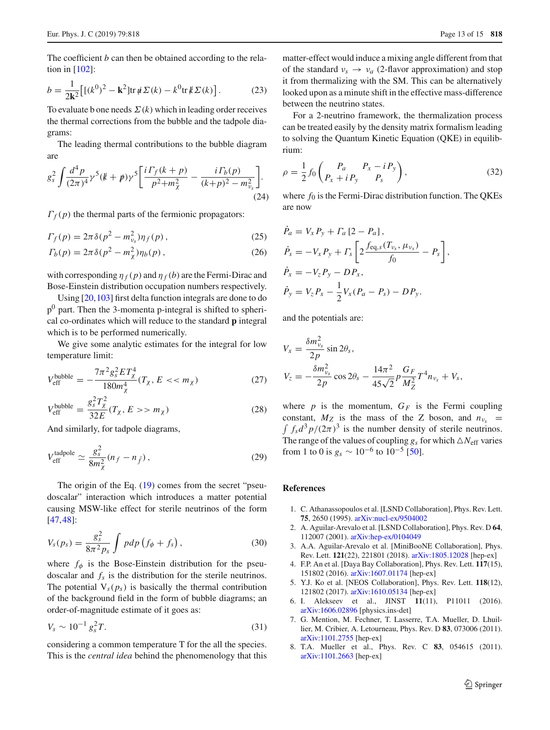The coefficient *b* can then be obtained according to the relation in [\[102\]](#page-14-26):

$$
b = \frac{1}{2k^2} \left[ [(k^0)^2 - k^2] \text{tr} \, \mathbf{\hat{\mu}} \Sigma(k) - k^0 \text{tr} \, \mathbf{\hat{\mu}} \Sigma(k) \right]. \tag{23}
$$

To evaluate b one needs  $\Sigma(k)$  which in leading order receives the thermal corrections from the bubble and the tadpole diagrams:

The leading thermal contributions to the bubble diagram are

$$
g_s^2 \int \frac{d^4 p}{(2\pi)^4} \gamma^5 (k+p) \gamma^5 \left[ \frac{i \Gamma_f (k+p)}{p^2 + m_\chi^2} - \frac{i \Gamma_b (p)}{(k+p)^2 - m_{\nu_s}^2} \right].
$$
\n(24)

 $\Gamma_f(p)$  the thermal parts of the fermionic propagators:

$$
\Gamma_f(p) = 2\pi \delta(p^2 - m_{\nu_s}^2) \eta_f(p) , \qquad (25)
$$

$$
\Gamma_b(p) = 2\pi \delta(p^2 - m_\chi^2) \eta_b(p) \,, \tag{26}
$$

with corresponding  $\eta_f(p)$  and  $\eta_f(b)$  are the Fermi-Dirac and Bose-Einstein distribution occupation numbers respectively.

Using [\[20](#page-13-50),[103\]](#page-14-27) first delta function integrals are done to do  $p<sup>0</sup>$  part. Then the 3-momenta p-integral is shifted to spherical co-ordinates which will reduce to the standard **p** integral which is to be performed numerically.

We give some analytic estimates for the integral for low temperature limit:

$$
V_{\text{eff}}^{\text{bubble}} = -\frac{7\pi^2 g_s^2 E T_\chi^4}{180 m_\chi^4} (T_\chi, E < \, m_\chi) \tag{27}
$$

$$
V_{\text{eff}}^{\text{bubble}} = \frac{g_s^2 T_\chi^2}{32E} (T_\chi, E > m_\chi) \tag{28}
$$

And similarly, for tadpole diagrams,

$$
V_{\text{eff}}^{\text{tadpole}} \simeq \frac{g_s^2}{8m_\chi^2} (n_f - n_{\bar{f}}), \qquad (29)
$$

The origin of the Eq. [\(19\)](#page-11-1) comes from the secret "pseudoscalar" interaction which introduces a matter potential causing MSW-like effect for sterile neutrinos of the form [\[47](#page-13-29),[48\]](#page-13-51):

$$
V_s(p_s) = \frac{g_s^2}{8\pi^2 p_s} \int p dp \left(f_\phi + f_s\right),\tag{30}
$$

where  $f_{\phi}$  is the Bose-Einstein distribution for the pseudoscalar and  $f_s$  is the distribution for the sterile neutrinos. The potential  $V_s(p_s)$  is basically the thermal contribution of the background field in the form of bubble diagrams; an order-of-magnitude estimate of it goes as:

$$
V_s \sim 10^{-1} g_s^2 T. \tag{31}
$$

considering a common temperature T for the all the species. This is the *central idea* behind the phenomenology that this matter-effect would induce a mixing angle different from that of the standard  $v_s \rightarrow v_a$  (2-flavor approximation) and stop it from thermalizing with the SM. This can be alternatively looked upon as a minute shift in the effective mass-difference between the neutrino states.

For a 2-neutrino framework, the thermalization process can be treated easily by the density matrix formalism leading to solving the Quantum Kinetic Equation (QKE) in equilibrium:

$$
\rho = \frac{1}{2} f_0 \begin{pmatrix} P_a & P_x - i P_y \\ P_x + i P_y & P_s \end{pmatrix},\tag{32}
$$

where  $f_0$  is the Fermi-Dirac distribution function. The QKEs are now

$$
P_a = V_x P_y + \Gamma_a [2 - P_a],
$$
  
\n
$$
\dot{P}_s = -V_x P_y + \Gamma_s \left[ 2 \frac{f_{\text{eq},s}(T_{\nu_s}, \mu_{\nu_s})}{f_0} - P_s \right],
$$
  
\n
$$
\dot{P}_x = -V_z P_y - DP_x,
$$
  
\n
$$
\dot{P}_y = V_z P_x - \frac{1}{2} V_x (P_a - P_s) - DP_y.
$$

and the potentials are:

$$
V_x = \frac{\delta m_{\nu_s}^2}{2p} \sin 2\theta_s,
$$
  

$$
V_z = -\frac{\delta m_{\nu_s}^2}{2p} \cos 2\theta_s - \frac{14\pi^2}{45\sqrt{2}} p \frac{G_F}{M_Z^2} T^4 n_{\nu_s} + V_s,
$$

where  $p$  is the momentum,  $G_F$  is the Fermi coupling constant,  $M_Z$  is the mass of the Z boson, and  $n_{\nu_s} =$   $\int f_s d^3 p / (2\pi)^3$  is the number density of sterile neutrinos. The range of the values of coupling  $g_s$  for which  $\triangle N_{\text{eff}}$  varies from 1 to 0 is  $g_s \sim 10^{-6}$  to  $10^{-5}$  [\[50\]](#page-13-49).

#### **References**

- <span id="page-12-0"></span>1. C. Athanassopoulos et al. [LSND Collaboration], Phys. Rev. Lett. **75**, 2650 (1995). [arXiv:nucl-ex/9504002](http://arxiv.org/abs/nucl-ex/9504002)
- <span id="page-12-1"></span>2. A. Aguilar-Arevalo et al. [LSND Collaboration], Phys. Rev. D **64**, 112007 (2001). [arXiv:hep-ex/0104049](http://arxiv.org/abs/hep-ex/0104049)
- <span id="page-12-2"></span>3. A.A. Aguilar-Arevalo et al. [MiniBooNE Collaboration], Phys. Rev. Lett. **121**(22), 221801 (2018). [arXiv:1805.12028](http://arxiv.org/abs/1805.12028) [hep-ex]
- <span id="page-12-3"></span>4. F.P. An et al. [Daya Bay Collaboration], Phys. Rev. Lett. **117**(15), 151802 (2016). [arXiv:1607.01174](http://arxiv.org/abs/1607.01174) [hep-ex]
- <span id="page-12-4"></span>5. Y.J. Ko et al. [NEOS Collaboration], Phys. Rev. Lett. **118**(12), 121802 (2017). [arXiv:1610.05134](http://arxiv.org/abs/1610.05134) [hep-ex]
- <span id="page-12-5"></span>6. I. Alekseev et al., JINST **11**(11), P11011 (2016). [arXiv:1606.02896](http://arxiv.org/abs/1606.02896) [physics.ins-det]
- <span id="page-12-6"></span>7. G. Mention, M. Fechner, T. Lasserre, T.A. Mueller, D. Lhuillier, M. Cribier, A. Letourneau, Phys. Rev. D **83**, 073006 (2011). [arXiv:1101.2755](http://arxiv.org/abs/1101.2755) [hep-ex]
- 8. T.A. Mueller et al., Phys. Rev. C **83**, 054615 (2011). [arXiv:1101.2663](http://arxiv.org/abs/1101.2663) [hep-ex]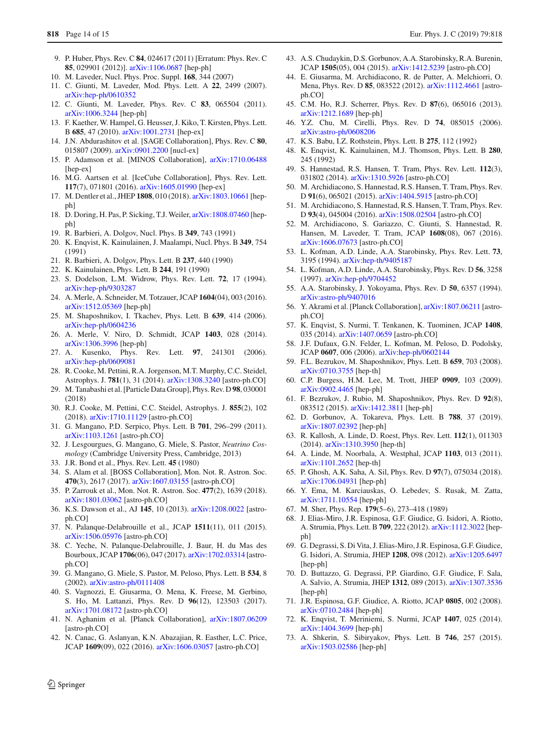- <span id="page-13-0"></span>9. P. Huber, Phys. Rev. C **84**, 024617 (2011) [Erratum: Phys. Rev. C **85**, 029901 (2012)]. [arXiv:1106.0687](http://arxiv.org/abs/1106.0687) [hep-ph]
- <span id="page-13-1"></span>10. M. Laveder, Nucl. Phys. Proc. Suppl. **168**, 344 (2007)
- 11. C. Giunti, M. Laveder, Mod. Phys. Lett. A **22**, 2499 (2007). [arXiv:hep-ph/0610352](http://arxiv.org/abs/hep-ph/0610352)
- <span id="page-13-2"></span>12. C. Giunti, M. Laveder, Phys. Rev. C **83**, 065504 (2011). [arXiv:1006.3244](http://arxiv.org/abs/1006.3244) [hep-ph]
- <span id="page-13-3"></span>13. F. Kaether, W. Hampel, G. Heusser, J. Kiko, T. Kirsten, Phys. Lett. B **685**, 47 (2010). [arXiv:1001.2731](http://arxiv.org/abs/1001.2731) [hep-ex]
- <span id="page-13-4"></span>14. J.N. Abdurashitov et al. [SAGE Collaboration], Phys. Rev. C **80**, 015807 (2009). [arXiv:0901.2200](http://arxiv.org/abs/0901.2200) [nucl-ex]
- <span id="page-13-5"></span>15. P. Adamson et al. [MINOS Collaboration], [arXiv:1710.06488](http://arxiv.org/abs/1710.06488) [hep-ex]
- <span id="page-13-6"></span>16. M.G. Aartsen et al. [IceCube Collaboration], Phys. Rev. Lett. **117**(7), 071801 (2016). [arXiv:1605.01990](http://arxiv.org/abs/1605.01990) [hep-ex]
- <span id="page-13-7"></span>17. M. Dentler et al., JHEP **1808**, 010 (2018). [arXiv:1803.10661](http://arxiv.org/abs/1803.10661) [hepph]
- <span id="page-13-14"></span>18. D. Doring, H. Pas, P. Sicking, T.J. Weiler, [arXiv:1808.07460](http://arxiv.org/abs/1808.07460) [hepph]
- <span id="page-13-8"></span>19. R. Barbieri, A. Dolgov, Nucl. Phys. B **349**, 743 (1991)
- <span id="page-13-50"></span>20. K. Enqvist, K. Kainulainen, J. Maalampi, Nucl. Phys. B **349**, 754 (1991)
- 21. R. Barbieri, A. Dolgov, Phys. Lett. B **237**, 440 (1990)
- 22. K. Kainulainen, Phys. Lett. B **244**, 191 (1990)
- 23. S. Dodelson, L.M. Widrow, Phys. Rev. Lett. **72**, 17 (1994). [arXiv:hep-ph/9303287](http://arxiv.org/abs/hep-ph/9303287)
- <span id="page-13-9"></span>24. A. Merle, A. Schneider, M. Totzauer, JCAP **1604**(04), 003 (2016). [arXiv:1512.05369](http://arxiv.org/abs/1512.05369) [hep-ph]
- <span id="page-13-10"></span>25. M. Shaposhnikov, I. Tkachev, Phys. Lett. B **639**, 414 (2006). [arXiv:hep-ph/0604236](http://arxiv.org/abs/hep-ph/0604236)
- 26. A. Merle, V. Niro, D. Schmidt, JCAP **1403**, 028 (2014). [arXiv:1306.3996](http://arxiv.org/abs/1306.3996) [hep-ph]
- <span id="page-13-11"></span>27. A. Kusenko, Phys. Rev. Lett. **97**, 241301 (2006). [arXiv:hep-ph/0609081](http://arxiv.org/abs/hep-ph/0609081)
- <span id="page-13-12"></span>28. R. Cooke, M. Pettini, R.A. Jorgenson, M.T. Murphy, C.C. Steidel, Astrophys. J. **781**(1), 31 (2014). [arXiv:1308.3240](http://arxiv.org/abs/1308.3240) [astro-ph.CO]
- 29. M. Tanabashi et al. [Particle Data Group], Phys. Rev. D **98**, 030001 (2018)
- 30. R.J. Cooke, M. Pettini, C.C. Steidel, Astrophys. J. **855**(2), 102 (2018). [arXiv:1710.11129](http://arxiv.org/abs/1710.11129) [astro-ph.CO]
- <span id="page-13-13"></span>31. G. Mangano, P.D. Serpico, Phys. Lett. B **701**, 296–299 (2011). [arXiv:1103.1261](http://arxiv.org/abs/1103.1261) [astro-ph.CO]
- <span id="page-13-15"></span>32. J. Lesgourgues, G. Mangano, G. Miele, S. Pastor, *Neutrino Cosmology* (Cambridge University Press, Cambridge, 2013)
- <span id="page-13-16"></span>33. J.R. Bond et al., Phys. Rev. Lett. **45** (1980)
- <span id="page-13-17"></span>34. S. Alam et al. [BOSS Collaboration], Mon. Not. R. Astron. Soc. **470**(3), 2617 (2017). [arXiv:1607.03155](http://arxiv.org/abs/1607.03155) [astro-ph.CO]
- 35. P. Zarrouk et al., Mon. Not. R. Astron. Soc. **477**(2), 1639 (2018). [arXiv:1801.03062](http://arxiv.org/abs/1801.03062) [astro-ph.CO]
- <span id="page-13-18"></span>36. K.S. Dawson et al., AJ **145**, 10 (2013). [arXiv:1208.0022](http://arxiv.org/abs/1208.0022) [astroph.CO]
- <span id="page-13-19"></span>37. N. Palanque-Delabrouille et al., JCAP **1511**(11), 011 (2015). [arXiv:1506.05976](http://arxiv.org/abs/1506.05976) [astro-ph.CO]
- <span id="page-13-20"></span>38. C. Yeche, N. Palanque-Delabrouille, J. Baur, H. du Mas des Bourboux, JCAP **1706**(06), 047 (2017). [arXiv:1702.03314](http://arxiv.org/abs/1702.03314) [astroph.CO]
- <span id="page-13-21"></span>39. G. Mangano, G. Miele, S. Pastor, M. Peloso, Phys. Lett. B **534**, 8 (2002). [arXiv:astro-ph/0111408](http://arxiv.org/abs/astro-ph/0111408)
- <span id="page-13-23"></span>40. S. Vagnozzi, E. Giusarma, O. Mena, K. Freese, M. Gerbino, S. Ho, M. Lattanzi, Phys. Rev. D **96**(12), 123503 (2017). [arXiv:1701.08172](http://arxiv.org/abs/1701.08172) [astro-ph.CO]
- <span id="page-13-22"></span>41. N. Aghanim et al. [Planck Collaboration], [arXiv:1807.06209](http://arxiv.org/abs/1807.06209) [astro-ph.CO]
- <span id="page-13-24"></span>42. N. Canac, G. Aslanyan, K.N. Abazajian, R. Easther, L.C. Price, JCAP **1609**(09), 022 (2016). [arXiv:1606.03057](http://arxiv.org/abs/1606.03057) [astro-ph.CO]
- <span id="page-13-25"></span>43. A.S. Chudaykin, D.S. Gorbunov, A.A. Starobinsky, R.A. Burenin, JCAP **1505**(05), 004 (2015). [arXiv:1412.5239](http://arxiv.org/abs/1412.5239) [astro-ph.CO]
- <span id="page-13-26"></span>44. E. Giusarma, M. Archidiacono, R. de Putter, A. Melchiorri, O. Mena, Phys. Rev. D **85**, 083522 (2012). [arXiv:1112.4661](http://arxiv.org/abs/1112.4661) [astroph.CO]
- <span id="page-13-27"></span>45. C.M. Ho, R.J. Scherrer, Phys. Rev. D **87**(6), 065016 (2013). [arXiv:1212.1689](http://arxiv.org/abs/1212.1689) [hep-ph]
- <span id="page-13-28"></span>46. Y.Z. Chu, M. Cirelli, Phys. Rev. D **74**, 085015 (2006). [arXiv:astro-ph/0608206](http://arxiv.org/abs/astro-ph/0608206)
- <span id="page-13-29"></span>47. K.S. Babu, I.Z. Rothstein, Phys. Lett. B **275**, 112 (1992)
- <span id="page-13-51"></span>48. K. Enqvist, K. Kainulainen, M.J. Thomson, Phys. Lett. B **280**, 245 (1992)
- 49. S. Hannestad, R.S. Hansen, T. Tram, Phys. Rev. Lett. **112**(3), 031802 (2014). [arXiv:1310.5926](http://arxiv.org/abs/1310.5926) [astro-ph.CO]
- <span id="page-13-49"></span>50. M. Archidiacono, S. Hannestad, R.S. Hansen, T. Tram, Phys. Rev. D **91**(6), 065021 (2015). [arXiv:1404.5915](http://arxiv.org/abs/1404.5915) [astro-ph.CO]
- <span id="page-13-41"></span>51. M. Archidiacono, S. Hannestad, R.S. Hansen, T. Tram, Phys. Rev. D **93**(4), 045004 (2016). [arXiv:1508.02504](http://arxiv.org/abs/1508.02504) [astro-ph.CO]
- <span id="page-13-30"></span>52. M. Archidiacono, S. Gariazzo, C. Giunti, S. Hannestad, R. Hansen, M. Laveder, T. Tram, JCAP **1608**(08), 067 (2016). [arXiv:1606.07673](http://arxiv.org/abs/1606.07673) [astro-ph.CO]
- <span id="page-13-31"></span>53. L. Kofman, A.D. Linde, A.A. Starobinsky, Phys. Rev. Lett. **73**, 3195 (1994). [arXiv:hep-th/9405187](http://arxiv.org/abs/hep-th/9405187)
- <span id="page-13-32"></span>54. L. Kofman, A.D. Linde, A.A. Starobinsky, Phys. Rev. D **56**, 3258 (1997). [arXiv:hep-ph/9704452](http://arxiv.org/abs/hep-ph/9704452)
- <span id="page-13-33"></span>55. A.A. Starobinsky, J. Yokoyama, Phys. Rev. D **50**, 6357 (1994). [arXiv:astro-ph/9407016](http://arxiv.org/abs/astro-ph/9407016)
- <span id="page-13-34"></span>56. Y. Akrami et al. [Planck Collaboration], [arXiv:1807.06211](http://arxiv.org/abs/1807.06211) [astroph.CO]
- <span id="page-13-35"></span>57. K. Enqvist, S. Nurmi, T. Tenkanen, K. Tuominen, JCAP **1408**, 035 (2014). [arXiv:1407.0659](http://arxiv.org/abs/1407.0659) [astro-ph.CO]
- <span id="page-13-36"></span>58. J.F. Dufaux, G.N. Felder, L. Kofman, M. Peloso, D. Podolsky, JCAP **0607**, 006 (2006). [arXiv:hep-ph/0602144](http://arxiv.org/abs/hep-ph/0602144)
- <span id="page-13-37"></span>59. F.L. Bezrukov, M. Shaposhnikov, Phys. Lett. B **659**, 703 (2008). [arXiv:0710.3755](http://arxiv.org/abs/0710.3755) [hep-th]
- <span id="page-13-38"></span>60. C.P. Burgess, H.M. Lee, M. Trott, JHEP **0909**, 103 (2009). [arXiv:0902.4465](http://arxiv.org/abs/0902.4465) [hep-ph]
- <span id="page-13-39"></span>61. F. Bezrukov, J. Rubio, M. Shaposhnikov, Phys. Rev. D **92**(8), 083512 (2015). [arXiv:1412.3811](http://arxiv.org/abs/1412.3811) [hep-ph]
- <span id="page-13-40"></span>62. D. Gorbunov, A. Tokareva, Phys. Lett. B **788**, 37 (2019). [arXiv:1807.02392](http://arxiv.org/abs/1807.02392) [hep-ph]
- <span id="page-13-42"></span>63. R. Kallosh, A. Linde, D. Roest, Phys. Rev. Lett. **112**(1), 011303 (2014). [arXiv:1310.3950](http://arxiv.org/abs/1310.3950) [hep-th]
- <span id="page-13-43"></span>64. A. Linde, M. Noorbala, A. Westphal, JCAP **1103**, 013 (2011). [arXiv:1101.2652](http://arxiv.org/abs/1101.2652) [hep-th]
- <span id="page-13-44"></span>65. P. Ghosh, A.K. Saha, A. Sil, Phys. Rev. D **97**(7), 075034 (2018). [arXiv:1706.04931](http://arxiv.org/abs/1706.04931) [hep-ph]
- <span id="page-13-45"></span>66. Y. Ema, M. Karciauskas, O. Lebedev, S. Rusak, M. Zatta, [arXiv:1711.10554](http://arxiv.org/abs/1711.10554) [hep-ph]
- <span id="page-13-46"></span>67. M. Sher, Phys. Rep. **179**(5–6), 273–418 (1989)
- 68. J. Elias-Miro, J.R. Espinosa, G.F. Giudice, G. Isidori, A. Riotto, A. Strumia, Phys. Lett. B **709**, 222 (2012). [arXiv:1112.3022](http://arxiv.org/abs/1112.3022) [hepph]
- 69. G. Degrassi, S. Di Vita, J. Elias-Miro, J.R. Espinosa, G.F. Giudice, G. Isidori, A. Strumia, JHEP **1208**, 098 (2012). [arXiv:1205.6497](http://arxiv.org/abs/1205.6497) [hep-ph]
- <span id="page-13-47"></span>70. D. Buttazzo, G. Degrassi, P.P. Giardino, G.F. Giudice, F. Sala, A. Salvio, A. Strumia, JHEP **1312**, 089 (2013). [arXiv:1307.3536](http://arxiv.org/abs/1307.3536) [hep-ph]
- <span id="page-13-48"></span>71. J.R. Espinosa, G.F. Giudice, A. Riotto, JCAP **0805**, 002 (2008). [arXiv:0710.2484](http://arxiv.org/abs/0710.2484) [hep-ph]
- 72. K. Enqvist, T. Meriniemi, S. Nurmi, JCAP **1407**, 025 (2014). [arXiv:1404.3699](http://arxiv.org/abs/1404.3699) [hep-ph]
- 73. A. Shkerin, S. Sibiryakov, Phys. Lett. B **746**, 257 (2015). [arXiv:1503.02586](http://arxiv.org/abs/1503.02586) [hep-ph]